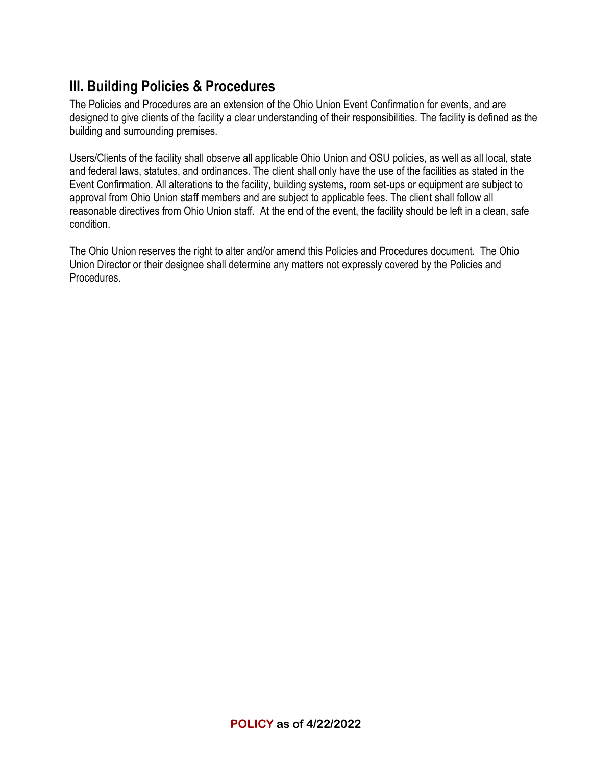# **III. Building Policies & Procedures**

The Policies and Procedures are an extension of the Ohio Union Event Confirmation for events, and are designed to give clients of the facility a clear understanding of their responsibilities. The facility is defined as the building and surrounding premises.

Users/Clients of the facility shall observe all applicable Ohio Union and OSU policies, as well as all local, state and federal laws, statutes, and ordinances. The client shall only have the use of the facilities as stated in the Event Confirmation. All alterations to the facility, building systems, room set-ups or equipment are subject to approval from Ohio Union staff members and are subject to applicable fees. The client shall follow all reasonable directives from Ohio Union staff. At the end of the event, the facility should be left in a clean, safe condition.

The Ohio Union reserves the right to alter and/or amend this Policies and Procedures document. The Ohio Union Director or their designee shall determine any matters not expressly covered by the Policies and Procedures.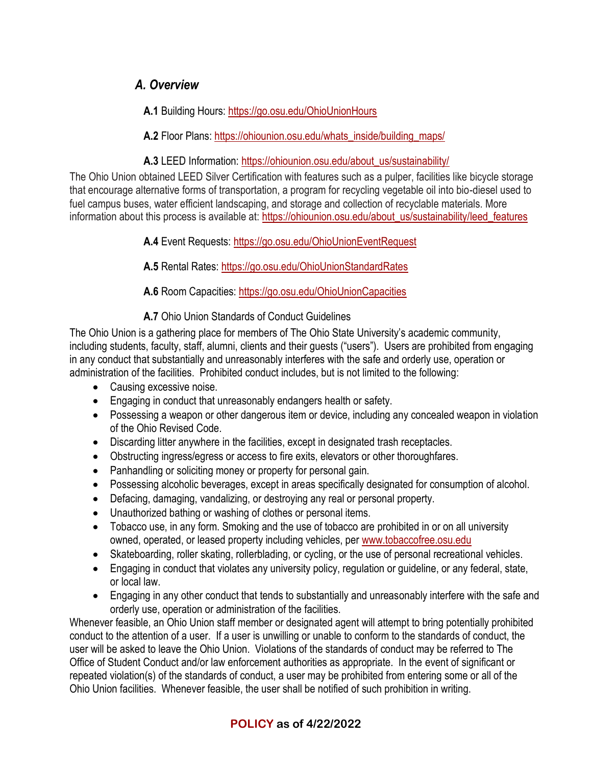## *A. Overview*

**A.1** Building Hours:<https://go.osu.edu/OhioUnionHours>

**A.2** Floor Plans: [https://ohiounion.osu.edu/whats\\_inside/building\\_maps/](https://ohiounion.osu.edu/whats_inside/building_maps/)

**A.3** LEED Information[: https://ohiounion.osu.edu/about\\_us/sustainability/](https://ohiounion.osu.edu/about_us/sustainability/)

The Ohio Union obtained LEED Silver Certification with features such as a pulper, facilities like bicycle storage that encourage alternative forms of transportation, a program for recycling vegetable oil into bio-diesel used to fuel campus buses, water efficient landscaping, and storage and collection of recyclable materials. More information about this process is available at: [https://ohiounion.osu.edu/about\\_us/sustainability/leed\\_features](https://ohiounion.osu.edu/about_us/sustainability/leed_features)

**A.4** Event Requests:<https://go.osu.edu/OhioUnionEventRequest>

**A.5** Rental Rates:<https://go.osu.edu/OhioUnionStandardRates>

**A.6** Room Capacities:<https://go.osu.edu/OhioUnionCapacities>

**A.7** Ohio Union Standards of Conduct Guidelines

The Ohio Union is a gathering place for members of The Ohio State University's academic community, including students, faculty, staff, alumni, clients and their guests ("users"). Users are prohibited from engaging in any conduct that substantially and unreasonably interferes with the safe and orderly use, operation or administration of the facilities. Prohibited conduct includes, but is not limited to the following:

- Causing excessive noise.
- Engaging in conduct that unreasonably endangers health or safety.
- Possessing a weapon or other dangerous item or device, including any concealed weapon in violation of the Ohio Revised Code.
- Discarding litter anywhere in the facilities, except in designated trash receptacles.
- Obstructing ingress/egress or access to fire exits, elevators or other thoroughfares.
- Panhandling or soliciting money or property for personal gain.
- Possessing alcoholic beverages, except in areas specifically designated for consumption of alcohol.
- Defacing, damaging, vandalizing, or destroying any real or personal property.
- Unauthorized bathing or washing of clothes or personal items.
- Tobacco use, in any form. Smoking and the use of tobacco are prohibited in or on all university owned, operated, or leased property including vehicles, per [www.tobaccofree.osu.edu](http://www.tobaccofree.osu.edu/)
- Skateboarding, roller skating, rollerblading, or cycling, or the use of personal recreational vehicles.
- Engaging in conduct that violates any university policy, regulation or guideline, or any federal, state, or local law.
- Engaging in any other conduct that tends to substantially and unreasonably interfere with the safe and orderly use, operation or administration of the facilities.

Whenever feasible, an Ohio Union staff member or designated agent will attempt to bring potentially prohibited conduct to the attention of a user. If a user is unwilling or unable to conform to the standards of conduct, the user will be asked to leave the Ohio Union. Violations of the standards of conduct may be referred to The Office of Student Conduct and/or law enforcement authorities as appropriate. In the event of significant or repeated violation(s) of the standards of conduct, a user may be prohibited from entering some or all of the Ohio Union facilities. Whenever feasible, the user shall be notified of such prohibition in writing.

# **POLICY as of 4/22/2022**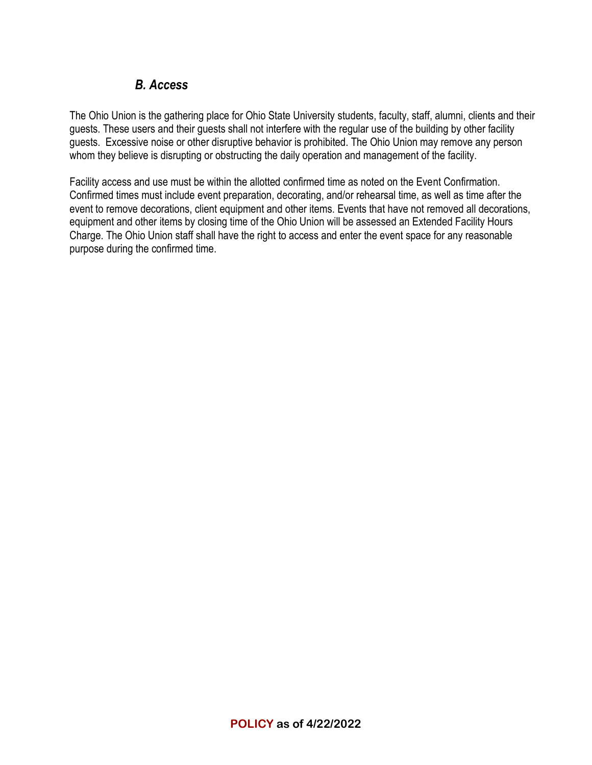# *B. Access*

The Ohio Union is the gathering place for Ohio State University students, faculty, staff, alumni, clients and their guests. These users and their guests shall not interfere with the regular use of the building by other facility guests. Excessive noise or other disruptive behavior is prohibited. The Ohio Union may remove any person whom they believe is disrupting or obstructing the daily operation and management of the facility.

Facility access and use must be within the allotted confirmed time as noted on the Event Confirmation. Confirmed times must include event preparation, decorating, and/or rehearsal time, as well as time after the event to remove decorations, client equipment and other items. Events that have not removed all decorations, equipment and other items by closing time of the Ohio Union will be assessed an Extended Facility Hours Charge. The Ohio Union staff shall have the right to access and enter the event space for any reasonable purpose during the confirmed time.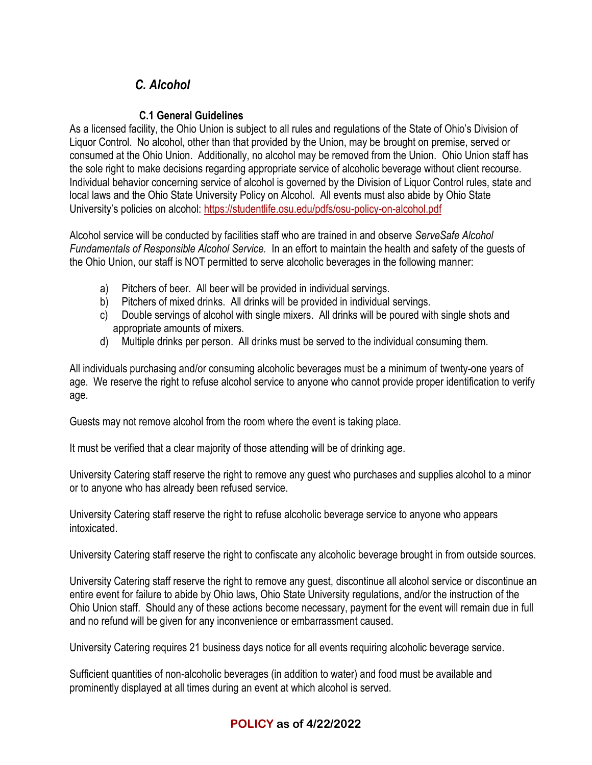# *C. Alcohol*

### **C.1 General Guidelines**

As a licensed facility, the Ohio Union is subject to all rules and regulations of the State of Ohio's Division of Liquor Control. No alcohol, other than that provided by the Union, may be brought on premise, served or consumed at the Ohio Union. Additionally, no alcohol may be removed from the Union. Ohio Union staff has the sole right to make decisions regarding appropriate service of alcoholic beverage without client recourse. Individual behavior concerning service of alcohol is governed by the Division of Liquor Control rules, state and local laws and the Ohio State University Policy on Alcohol. All events must also abide by Ohio State University's policies on alcohol: <https://studentlife.osu.edu/pdfs/osu-policy-on-alcohol.pdf>

Alcohol service will be conducted by facilities staff who are trained in and observe *ServeSafe Alcohol Fundamentals of Responsible Alcohol Service.* In an effort to maintain the health and safety of the guests of the Ohio Union, our staff is NOT permitted to serve alcoholic beverages in the following manner:

- a) Pitchers of beer. All beer will be provided in individual servings.
- b) Pitchers of mixed drinks. All drinks will be provided in individual servings.
- c) Double servings of alcohol with single mixers. All drinks will be poured with single shots and appropriate amounts of mixers.
- d) Multiple drinks per person. All drinks must be served to the individual consuming them.

All individuals purchasing and/or consuming alcoholic beverages must be a minimum of twenty-one years of age. We reserve the right to refuse alcohol service to anyone who cannot provide proper identification to verify age.

Guests may not remove alcohol from the room where the event is taking place.

It must be verified that a clear majority of those attending will be of drinking age.

University Catering staff reserve the right to remove any guest who purchases and supplies alcohol to a minor or to anyone who has already been refused service.

University Catering staff reserve the right to refuse alcoholic beverage service to anyone who appears intoxicated.

University Catering staff reserve the right to confiscate any alcoholic beverage brought in from outside sources.

University Catering staff reserve the right to remove any guest, discontinue all alcohol service or discontinue an entire event for failure to abide by Ohio laws, Ohio State University regulations, and/or the instruction of the Ohio Union staff. Should any of these actions become necessary, payment for the event will remain due in full and no refund will be given for any inconvenience or embarrassment caused.

University Catering requires 21 business days notice for all events requiring alcoholic beverage service.

Sufficient quantities of non-alcoholic beverages (in addition to water) and food must be available and prominently displayed at all times during an event at which alcohol is served.

## **POLICY as of 4/22/2022**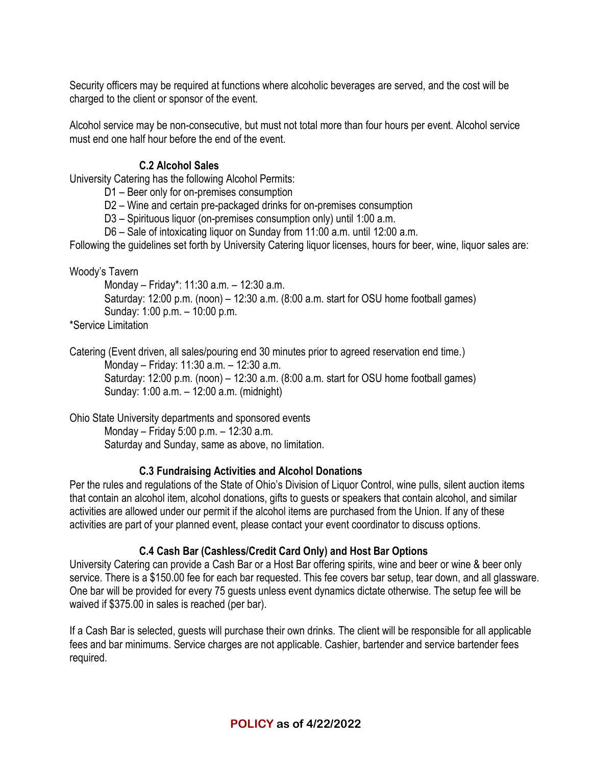Security officers may be required at functions where alcoholic beverages are served, and the cost will be charged to the client or sponsor of the event.

Alcohol service may be non-consecutive, but must not total more than four hours per event. Alcohol service must end one half hour before the end of the event.

#### **C.2 Alcohol Sales**

University Catering has the following Alcohol Permits:

D1 – Beer only for on-premises consumption

D2 – Wine and certain pre-packaged drinks for on-premises consumption

D3 – Spirituous liquor (on-premises consumption only) until 1:00 a.m.

D6 – Sale of intoxicating liquor on Sunday from 11:00 a.m. until 12:00 a.m.

Following the guidelines set forth by University Catering liquor licenses, hours for beer, wine, liquor sales are:

Woody's Tavern

Monday – Friday\*: 11:30 a.m. – 12:30 a.m.

Saturday: 12:00 p.m. (noon) – 12:30 a.m. (8:00 a.m. start for OSU home football games) Sunday: 1:00 p.m. – 10:00 p.m.

\*Service Limitation

Catering (Event driven, all sales/pouring end 30 minutes prior to agreed reservation end time.) Monday – Friday: 11:30 a.m. – 12:30 a.m. Saturday: 12:00 p.m. (noon) – 12:30 a.m. (8:00 a.m. start for OSU home football games) Sunday: 1:00 a.m. – 12:00 a.m. (midnight)

Ohio State University departments and sponsored events Monday – Friday 5:00 p.m. – 12:30 a.m. Saturday and Sunday, same as above, no limitation.

#### **C.3 Fundraising Activities and Alcohol Donations**

Per the rules and regulations of the State of Ohio's Division of Liquor Control, wine pulls, silent auction items that contain an alcohol item, alcohol donations, gifts to guests or speakers that contain alcohol, and similar activities are allowed under our permit if the alcohol items are purchased from the Union. If any of these activities are part of your planned event, please contact your event coordinator to discuss options.

#### **C.4 Cash Bar (Cashless/Credit Card Only) and Host Bar Options**

University Catering can provide a Cash Bar or a Host Bar offering spirits, wine and beer or wine & beer only service. There is a \$150.00 fee for each bar requested. This fee covers bar setup, tear down, and all glassware. One bar will be provided for every 75 guests unless event dynamics dictate otherwise. The setup fee will be waived if \$375.00 in sales is reached (per bar).

If a Cash Bar is selected, guests will purchase their own drinks. The client will be responsible for all applicable fees and bar minimums. Service charges are not applicable. Cashier, bartender and service bartender fees required.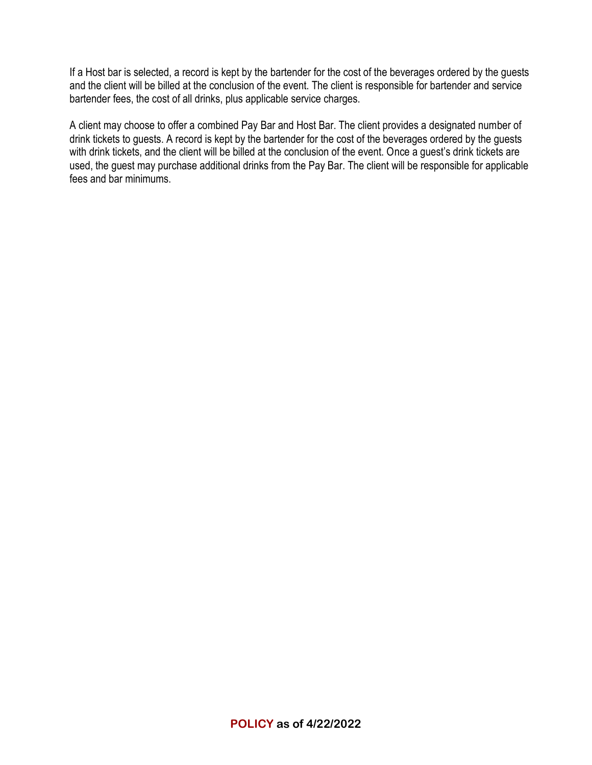If a Host bar is selected, a record is kept by the bartender for the cost of the beverages ordered by the guests and the client will be billed at the conclusion of the event. The client is responsible for bartender and service bartender fees, the cost of all drinks, plus applicable service charges.

A client may choose to offer a combined Pay Bar and Host Bar. The client provides a designated number of drink tickets to guests. A record is kept by the bartender for the cost of the beverages ordered by the guests with drink tickets, and the client will be billed at the conclusion of the event. Once a guest's drink tickets are used, the guest may purchase additional drinks from the Pay Bar. The client will be responsible for applicable fees and bar minimums.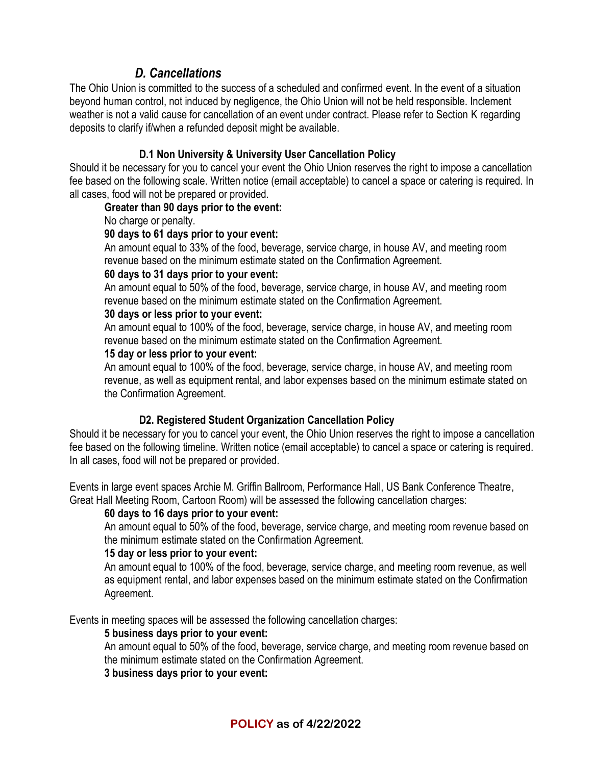# *D. Cancellations*

The Ohio Union is committed to the success of a scheduled and confirmed event. In the event of a situation beyond human control, not induced by negligence, the Ohio Union will not be held responsible. Inclement weather is not a valid cause for cancellation of an event under contract. Please refer to Section K regarding deposits to clarify if/when a refunded deposit might be available.

#### **D.1 Non University & University User Cancellation Policy**

Should it be necessary for you to cancel your event the Ohio Union reserves the right to impose a cancellation fee based on the following scale. Written notice (email acceptable) to cancel a space or catering is required. In all cases, food will not be prepared or provided.

#### **Greater than 90 days prior to the event:**

No charge or penalty.

#### **90 days to 61 days prior to your event:**

An amount equal to 33% of the food, beverage, service charge, in house AV, and meeting room revenue based on the minimum estimate stated on the Confirmation Agreement.

#### **60 days to 31 days prior to your event:**

An amount equal to 50% of the food, beverage, service charge, in house AV, and meeting room revenue based on the minimum estimate stated on the Confirmation Agreement.

#### **30 days or less prior to your event:**

An amount equal to 100% of the food, beverage, service charge, in house AV, and meeting room revenue based on the minimum estimate stated on the Confirmation Agreement.

#### **15 day or less prior to your event:**

An amount equal to 100% of the food, beverage, service charge, in house AV, and meeting room revenue, as well as equipment rental, and labor expenses based on the minimum estimate stated on the Confirmation Agreement.

#### **D2. Registered Student Organization Cancellation Policy**

Should it be necessary for you to cancel your event, the Ohio Union reserves the right to impose a cancellation fee based on the following timeline. Written notice (email acceptable) to cancel a space or catering is required. In all cases, food will not be prepared or provided.

Events in large event spaces Archie M. Griffin Ballroom, Performance Hall, US Bank Conference Theatre, Great Hall Meeting Room, Cartoon Room) will be assessed the following cancellation charges:

#### **60 days to 16 days prior to your event:**

An amount equal to 50% of the food, beverage, service charge, and meeting room revenue based on the minimum estimate stated on the Confirmation Agreement.

#### **15 day or less prior to your event:**

An amount equal to 100% of the food, beverage, service charge, and meeting room revenue, as well as equipment rental, and labor expenses based on the minimum estimate stated on the Confirmation Agreement.

Events in meeting spaces will be assessed the following cancellation charges:

#### **5 business days prior to your event:**

An amount equal to 50% of the food, beverage, service charge, and meeting room revenue based on the minimum estimate stated on the Confirmation Agreement.

#### **3 business days prior to your event:**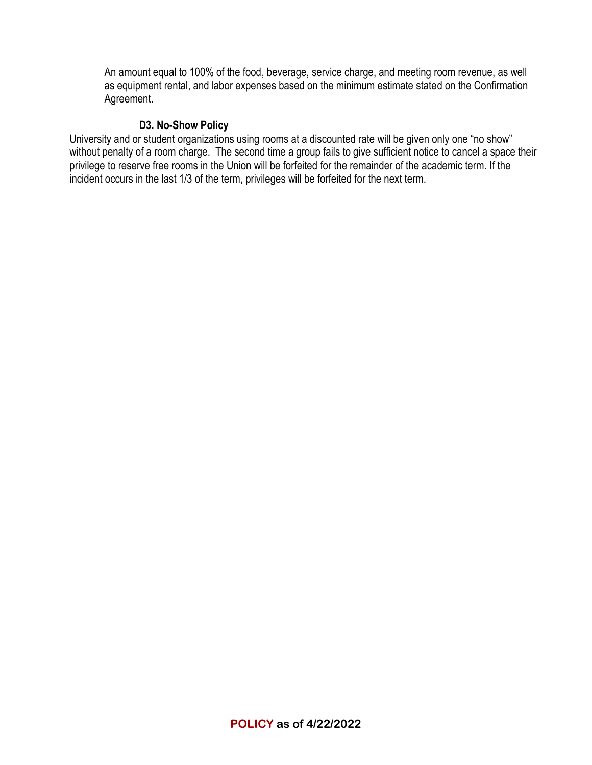An amount equal to 100% of the food, beverage, service charge, and meeting room revenue, as well as equipment rental, and labor expenses based on the minimum estimate stated on the Confirmation Agreement.

#### **D3. No-Show Policy**

University and or student organizations using rooms at a discounted rate will be given only one "no show" without penalty of a room charge. The second time a group fails to give sufficient notice to cancel a space their privilege to reserve free rooms in the Union will be forfeited for the remainder of the academic term. If the incident occurs in the last 1/3 of the term, privileges will be forfeited for the next term.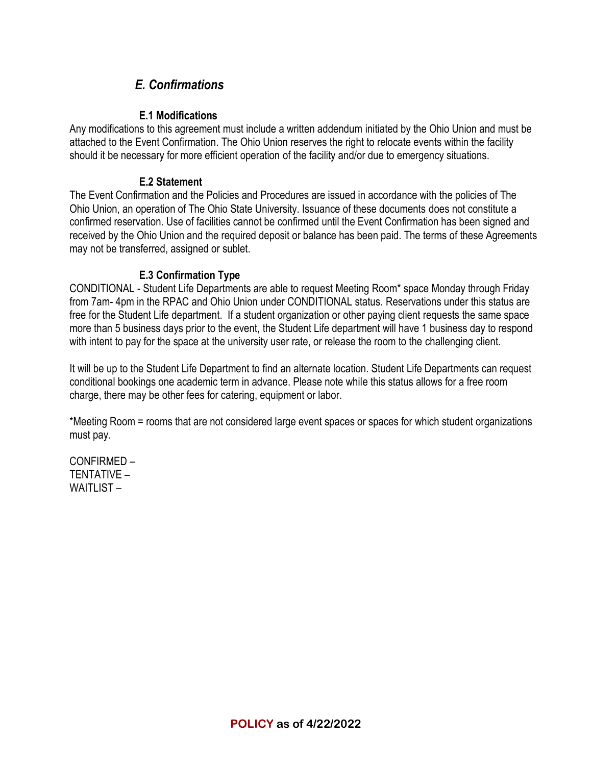# *E. Confirmations*

#### **E.1 Modifications**

Any modifications to this agreement must include a written addendum initiated by the Ohio Union and must be attached to the Event Confirmation. The Ohio Union reserves the right to relocate events within the facility should it be necessary for more efficient operation of the facility and/or due to emergency situations.

#### **E.2 Statement**

The Event Confirmation and the Policies and Procedures are issued in accordance with the policies of The Ohio Union, an operation of The Ohio State University. Issuance of these documents does not constitute a confirmed reservation. Use of facilities cannot be confirmed until the Event Confirmation has been signed and received by the Ohio Union and the required deposit or balance has been paid. The terms of these Agreements may not be transferred, assigned or sublet.

#### **E.3 Confirmation Type**

CONDITIONAL - Student Life Departments are able to request Meeting Room\* space Monday through Friday from 7am- 4pm in the RPAC and Ohio Union under CONDITIONAL status. Reservations under this status are free for the Student Life department. If a student organization or other paying client requests the same space more than 5 business days prior to the event, the Student Life department will have 1 business day to respond with intent to pay for the space at the university user rate, or release the room to the challenging client.

It will be up to the Student Life Department to find an alternate location. Student Life Departments can request conditional bookings one academic term in advance. Please note while this status allows for a free room charge, there may be other fees for catering, equipment or labor.

\*Meeting Room = rooms that are not considered large event spaces or spaces for which student organizations must pay.

CONFIRMED – TENTATIVE – WAITLIST –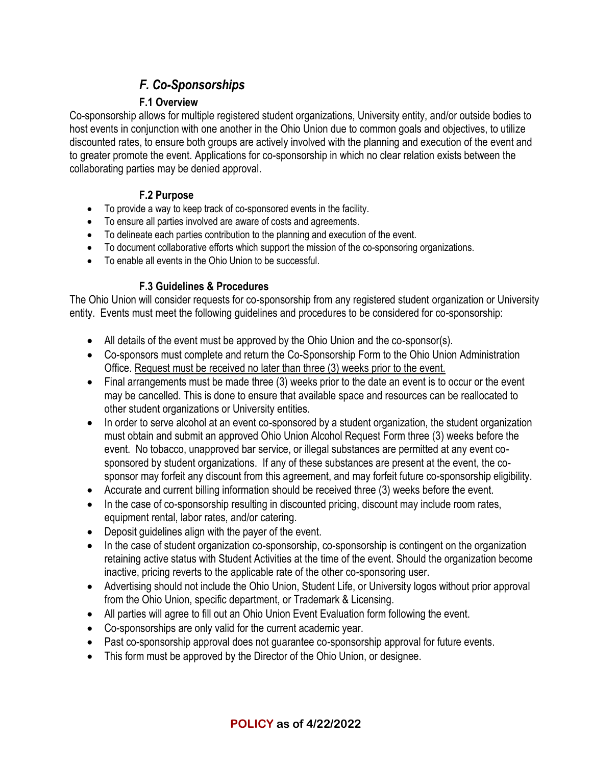# *F. Co-Sponsorships*

## **F.1 Overview**

Co-sponsorship allows for multiple registered student organizations, University entity, and/or outside bodies to host events in conjunction with one another in the Ohio Union due to common goals and objectives, to utilize discounted rates, to ensure both groups are actively involved with the planning and execution of the event and to greater promote the event. Applications for co-sponsorship in which no clear relation exists between the collaborating parties may be denied approval.

### **F.2 Purpose**

- To provide a way to keep track of co-sponsored events in the facility.
- To ensure all parties involved are aware of costs and agreements.
- To delineate each parties contribution to the planning and execution of the event.
- To document collaborative efforts which support the mission of the co-sponsoring organizations.
- To enable all events in the Ohio Union to be successful.

## **F.3 Guidelines & Procedures**

The Ohio Union will consider requests for co-sponsorship from any registered student organization or University entity. Events must meet the following guidelines and procedures to be considered for co-sponsorship:

- All details of the event must be approved by the Ohio Union and the co-sponsor(s).
- Co-sponsors must complete and return the Co-Sponsorship Form to the Ohio Union Administration Office. Request must be received no later than three (3) weeks prior to the event.
- Final arrangements must be made three (3) weeks prior to the date an event is to occur or the event may be cancelled. This is done to ensure that available space and resources can be reallocated to other student organizations or University entities.
- In order to serve alcohol at an event co-sponsored by a student organization, the student organization must obtain and submit an approved Ohio Union Alcohol Request Form three (3) weeks before the event. No tobacco, unapproved bar service, or illegal substances are permitted at any event cosponsored by student organizations. If any of these substances are present at the event, the cosponsor may forfeit any discount from this agreement, and may forfeit future co-sponsorship eligibility.
- Accurate and current billing information should be received three (3) weeks before the event.
- In the case of co-sponsorship resulting in discounted pricing, discount may include room rates, equipment rental, labor rates, and/or catering.
- Deposit guidelines align with the payer of the event.
- In the case of student organization co-sponsorship, co-sponsorship is contingent on the organization retaining active status with Student Activities at the time of the event. Should the organization become inactive, pricing reverts to the applicable rate of the other co-sponsoring user.
- Advertising should not include the Ohio Union, Student Life, or University logos without prior approval from the Ohio Union, specific department, or Trademark & Licensing.
- All parties will agree to fill out an Ohio Union Event Evaluation form following the event.
- Co-sponsorships are only valid for the current academic year.
- Past co-sponsorship approval does not guarantee co-sponsorship approval for future events.
- This form must be approved by the Director of the Ohio Union, or designee.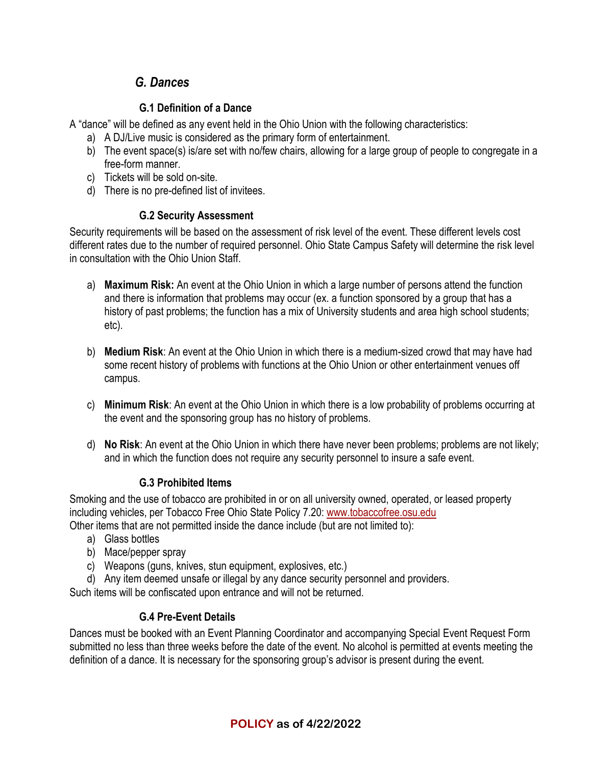# *G. Dances*

### **G.1 Definition of a Dance**

A "dance" will be defined as any event held in the Ohio Union with the following characteristics:

- a) A DJ/Live music is considered as the primary form of entertainment.
- b) The event space(s) is/are set with no/few chairs, allowing for a large group of people to congregate in a free-form manner.
- c) Tickets will be sold on-site.
- d) There is no pre-defined list of invitees.

### **G.2 Security Assessment**

Security requirements will be based on the assessment of risk level of the event. These different levels cost different rates due to the number of required personnel. Ohio State Campus Safety will determine the risk level in consultation with the Ohio Union Staff.

- a) **Maximum Risk:** An event at the Ohio Union in which a large number of persons attend the function and there is information that problems may occur (ex. a function sponsored by a group that has a history of past problems; the function has a mix of University students and area high school students; etc).
- b) **Medium Risk**: An event at the Ohio Union in which there is a medium-sized crowd that may have had some recent history of problems with functions at the Ohio Union or other entertainment venues off campus.
- c) **Minimum Risk**: An event at the Ohio Union in which there is a low probability of problems occurring at the event and the sponsoring group has no history of problems.
- d) **No Risk**: An event at the Ohio Union in which there have never been problems; problems are not likely; and in which the function does not require any security personnel to insure a safe event.

## **G.3 Prohibited Items**

Smoking and the use of tobacco are prohibited in or on all university owned, operated, or leased property including vehicles, per Tobacco Free Ohio State Policy 7.20: [www.tobaccofree.osu.edu](http://www.tobaccofree.osu.edu/)

Other items that are not permitted inside the dance include (but are not limited to):

- a) Glass bottles
- b) Mace/pepper spray
- c) Weapons (guns, knives, stun equipment, explosives, etc.)
- d) Any item deemed unsafe or illegal by any dance security personnel and providers.

Such items will be confiscated upon entrance and will not be returned.

## **G.4 Pre-Event Details**

Dances must be booked with an Event Planning Coordinator and accompanying Special Event Request Form submitted no less than three weeks before the date of the event. No alcohol is permitted at events meeting the definition of a dance. It is necessary for the sponsoring group's advisor is present during the event.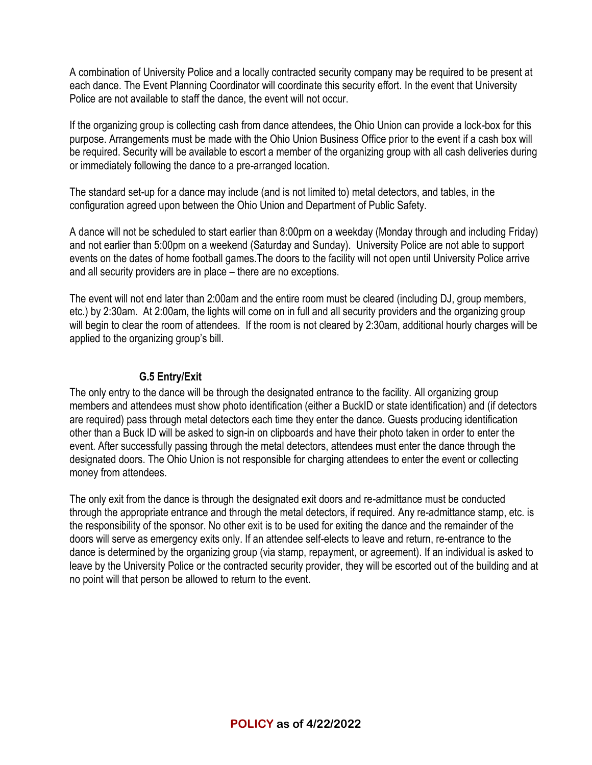A combination of University Police and a locally contracted security company may be required to be present at each dance. The Event Planning Coordinator will coordinate this security effort. In the event that University Police are not available to staff the dance, the event will not occur.

If the organizing group is collecting cash from dance attendees, the Ohio Union can provide a lock-box for this purpose. Arrangements must be made with the Ohio Union Business Office prior to the event if a cash box will be required. Security will be available to escort a member of the organizing group with all cash deliveries during or immediately following the dance to a pre-arranged location.

The standard set-up for a dance may include (and is not limited to) metal detectors, and tables, in the configuration agreed upon between the Ohio Union and Department of Public Safety.

A dance will not be scheduled to start earlier than 8:00pm on a weekday (Monday through and including Friday) and not earlier than 5:00pm on a weekend (Saturday and Sunday). University Police are not able to support events on the dates of home football games.The doors to the facility will not open until University Police arrive and all security providers are in place – there are no exceptions.

The event will not end later than 2:00am and the entire room must be cleared (including DJ, group members, etc.) by 2:30am. At 2:00am, the lights will come on in full and all security providers and the organizing group will begin to clear the room of attendees. If the room is not cleared by 2:30am, additional hourly charges will be applied to the organizing group's bill.

#### **G.5 Entry/Exit**

The only entry to the dance will be through the designated entrance to the facility. All organizing group members and attendees must show photo identification (either a BuckID or state identification) and (if detectors are required) pass through metal detectors each time they enter the dance. Guests producing identification other than a Buck ID will be asked to sign-in on clipboards and have their photo taken in order to enter the event. After successfully passing through the metal detectors, attendees must enter the dance through the designated doors. The Ohio Union is not responsible for charging attendees to enter the event or collecting money from attendees.

The only exit from the dance is through the designated exit doors and re-admittance must be conducted through the appropriate entrance and through the metal detectors, if required. Any re-admittance stamp, etc. is the responsibility of the sponsor. No other exit is to be used for exiting the dance and the remainder of the doors will serve as emergency exits only. If an attendee self-elects to leave and return, re-entrance to the dance is determined by the organizing group (via stamp, repayment, or agreement). If an individual is asked to leave by the University Police or the contracted security provider, they will be escorted out of the building and at no point will that person be allowed to return to the event.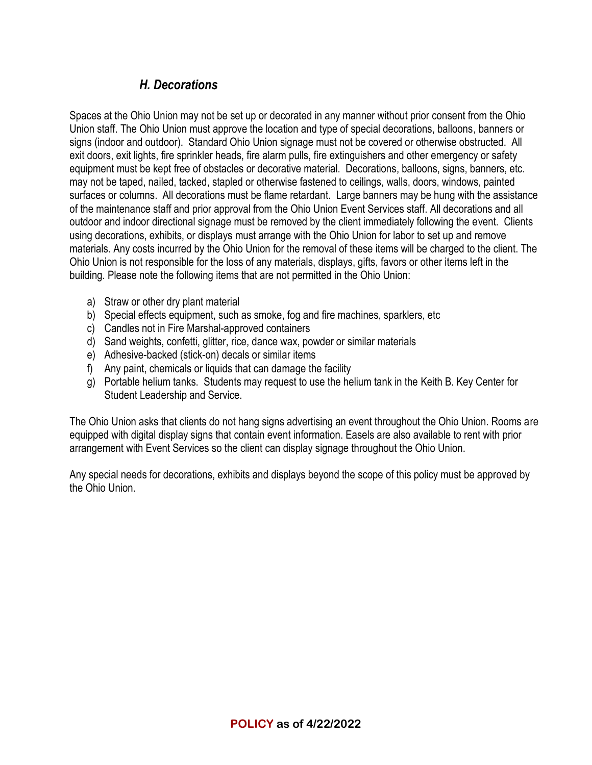# *H. Decorations*

Spaces at the Ohio Union may not be set up or decorated in any manner without prior consent from the Ohio Union staff. The Ohio Union must approve the location and type of special decorations, balloons, banners or signs (indoor and outdoor). Standard Ohio Union signage must not be covered or otherwise obstructed. All exit doors, exit lights, fire sprinkler heads, fire alarm pulls, fire extinguishers and other emergency or safety equipment must be kept free of obstacles or decorative material. Decorations, balloons, signs, banners, etc. may not be taped, nailed, tacked, stapled or otherwise fastened to ceilings, walls, doors, windows, painted surfaces or columns. All decorations must be flame retardant. Large banners may be hung with the assistance of the maintenance staff and prior approval from the Ohio Union Event Services staff. All decorations and all outdoor and indoor directional signage must be removed by the client immediately following the event. Clients using decorations, exhibits, or displays must arrange with the Ohio Union for labor to set up and remove materials. Any costs incurred by the Ohio Union for the removal of these items will be charged to the client. The Ohio Union is not responsible for the loss of any materials, displays, gifts, favors or other items left in the building. Please note the following items that are not permitted in the Ohio Union:

- a) Straw or other dry plant material
- b) Special effects equipment, such as smoke, fog and fire machines, sparklers, etc
- c) Candles not in Fire Marshal-approved containers
- d) Sand weights, confetti, glitter, rice, dance wax, powder or similar materials
- e) Adhesive-backed (stick-on) decals or similar items
- f) Any paint, chemicals or liquids that can damage the facility
- g) Portable helium tanks. Students may request to use the helium tank in the Keith B. Key Center for Student Leadership and Service.

The Ohio Union asks that clients do not hang signs advertising an event throughout the Ohio Union. Rooms are equipped with digital display signs that contain event information. Easels are also available to rent with prior arrangement with Event Services so the client can display signage throughout the Ohio Union.

Any special needs for decorations, exhibits and displays beyond the scope of this policy must be approved by the Ohio Union.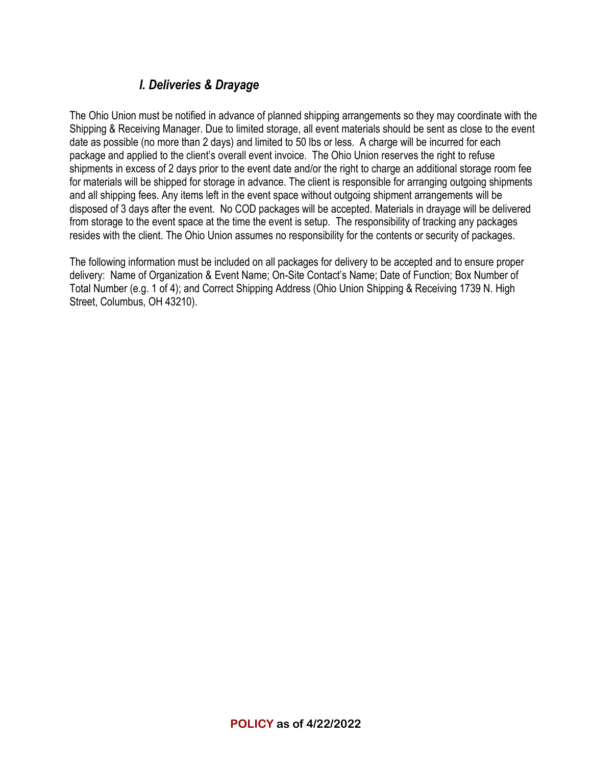# *I. Deliveries & Drayage*

The Ohio Union must be notified in advance of planned shipping arrangements so they may coordinate with the Shipping & Receiving Manager. Due to limited storage, all event materials should be sent as close to the event date as possible (no more than 2 days) and limited to 50 lbs or less. A charge will be incurred for each package and applied to the client's overall event invoice. The Ohio Union reserves the right to refuse shipments in excess of 2 days prior to the event date and/or the right to charge an additional storage room fee for materials will be shipped for storage in advance. The client is responsible for arranging outgoing shipments and all shipping fees. Any items left in the event space without outgoing shipment arrangements will be disposed of 3 days after the event. No COD packages will be accepted. Materials in drayage will be delivered from storage to the event space at the time the event is setup. The responsibility of tracking any packages resides with the client. The Ohio Union assumes no responsibility for the contents or security of packages.

The following information must be included on all packages for delivery to be accepted and to ensure proper delivery: Name of Organization & Event Name; On-Site Contact's Name; Date of Function; Box Number of Total Number (e.g. 1 of 4); and Correct Shipping Address (Ohio Union Shipping & Receiving 1739 N. High Street, Columbus, OH 43210).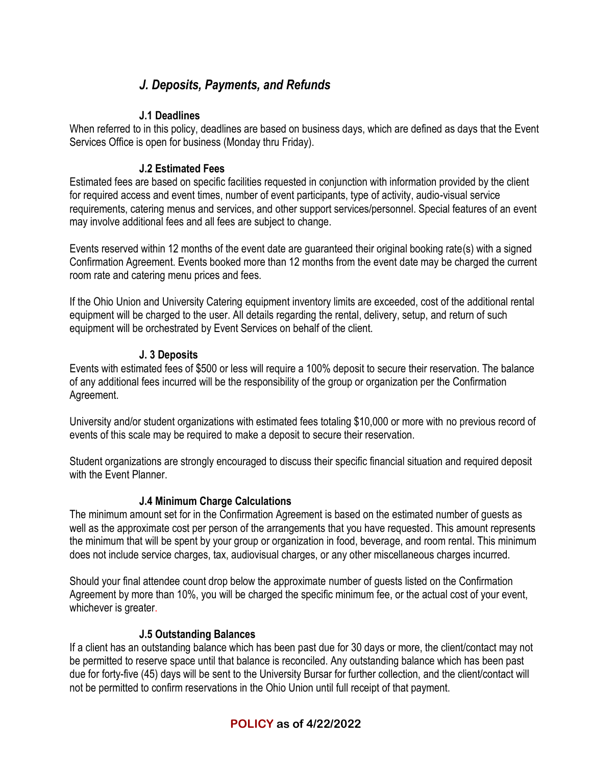# *J. Deposits, Payments, and Refunds*

#### **J.1 Deadlines**

When referred to in this policy, deadlines are based on business days, which are defined as days that the Event Services Office is open for business (Monday thru Friday).

### **J.2 Estimated Fees**

Estimated fees are based on specific facilities requested in conjunction with information provided by the client for required access and event times, number of event participants, type of activity, audio-visual service requirements, catering menus and services, and other support services/personnel. Special features of an event may involve additional fees and all fees are subject to change.

Events reserved within 12 months of the event date are guaranteed their original booking rate(s) with a signed Confirmation Agreement. Events booked more than 12 months from the event date may be charged the current room rate and catering menu prices and fees.

If the Ohio Union and University Catering equipment inventory limits are exceeded, cost of the additional rental equipment will be charged to the user. All details regarding the rental, delivery, setup, and return of such equipment will be orchestrated by Event Services on behalf of the client.

### **J. 3 Deposits**

Events with estimated fees of \$500 or less will require a 100% deposit to secure their reservation. The balance of any additional fees incurred will be the responsibility of the group or organization per the Confirmation Agreement.

University and/or student organizations with estimated fees totaling \$10,000 or more with no previous record of events of this scale may be required to make a deposit to secure their reservation.

Student organizations are strongly encouraged to discuss their specific financial situation and required deposit with the Event Planner.

## **J.4 Minimum Charge Calculations**

The minimum amount set for in the Confirmation Agreement is based on the estimated number of guests as well as the approximate cost per person of the arrangements that you have requested. This amount represents the minimum that will be spent by your group or organization in food, beverage, and room rental. This minimum does not include service charges, tax, audiovisual charges, or any other miscellaneous charges incurred.

Should your final attendee count drop below the approximate number of guests listed on the Confirmation Agreement by more than 10%, you will be charged the specific minimum fee, or the actual cost of your event, whichever is greater.

#### **J.5 Outstanding Balances**

If a client has an outstanding balance which has been past due for 30 days or more, the client/contact may not be permitted to reserve space until that balance is reconciled. Any outstanding balance which has been past due for forty-five (45) days will be sent to the University Bursar for further collection, and the client/contact will not be permitted to confirm reservations in the Ohio Union until full receipt of that payment.

## **POLICY as of 4/22/2022**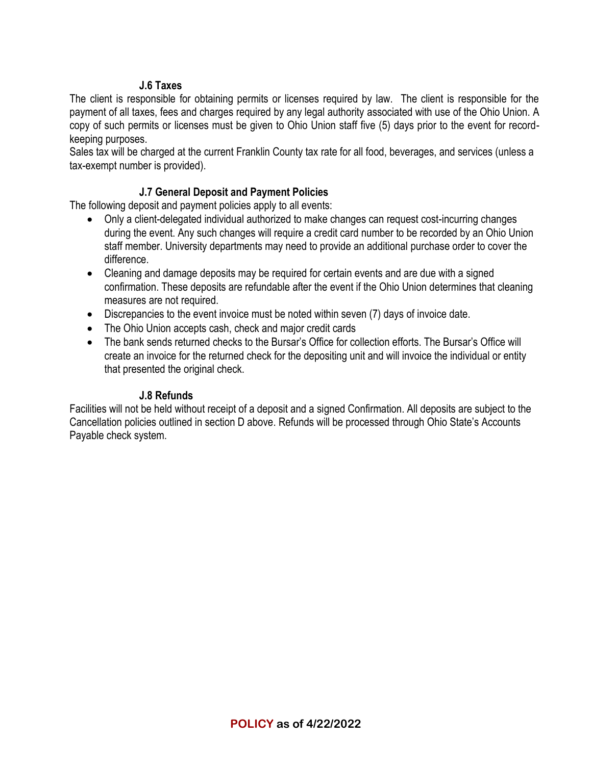#### **J.6 Taxes**

The client is responsible for obtaining permits or licenses required by law. The client is responsible for the payment of all taxes, fees and charges required by any legal authority associated with use of the Ohio Union. A copy of such permits or licenses must be given to Ohio Union staff five (5) days prior to the event for recordkeeping purposes.

Sales tax will be charged at the current Franklin County tax rate for all food, beverages, and services (unless a tax-exempt number is provided).

### **J.7 General Deposit and Payment Policies**

The following deposit and payment policies apply to all events:

- Only a client-delegated individual authorized to make changes can request cost-incurring changes during the event. Any such changes will require a credit card number to be recorded by an Ohio Union staff member. University departments may need to provide an additional purchase order to cover the difference.
- Cleaning and damage deposits may be required for certain events and are due with a signed confirmation. These deposits are refundable after the event if the Ohio Union determines that cleaning measures are not required.
- Discrepancies to the event invoice must be noted within seven (7) days of invoice date.
- The Ohio Union accepts cash, check and major credit cards
- The bank sends returned checks to the Bursar's Office for collection efforts. The Bursar's Office will create an invoice for the returned check for the depositing unit and will invoice the individual or entity that presented the original check.

#### **J.8 Refunds**

Facilities will not be held without receipt of a deposit and a signed Confirmation. All deposits are subject to the Cancellation policies outlined in section D above. Refunds will be processed through Ohio State's Accounts Payable check system.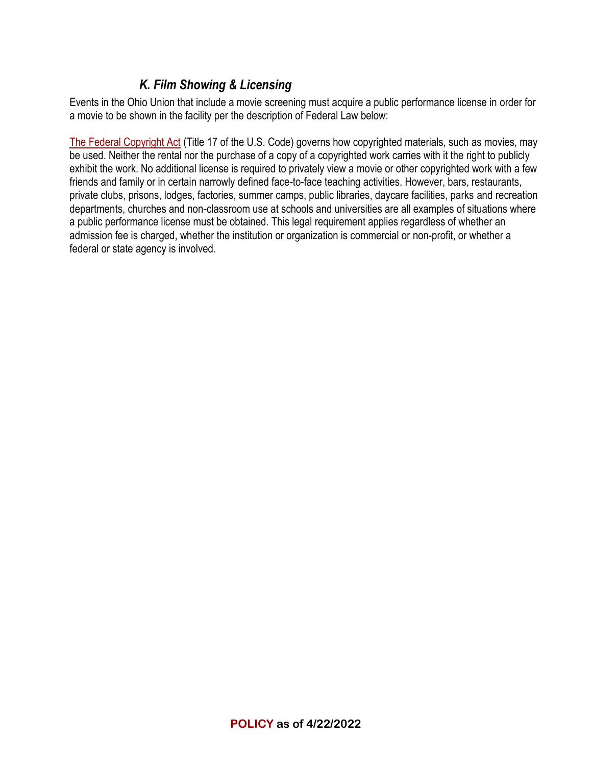# *K. Film Showing & Licensing*

Events in the Ohio Union that include a movie screening must acquire a public performance license in order for a movie to be shown in the facility per the description of Federal Law below:

[The Federal Copyright Act](http://www.copyright.gov/title17/circ92.pdf) (Title 17 of the U.S. Code) governs how copyrighted materials, such as movies, may be used. Neither the rental nor the purchase of a copy of a copyrighted work carries with it the right to publicly exhibit the work. No additional license is required to privately view a movie or other copyrighted work with a few friends and family or in certain narrowly defined face-to-face teaching activities. However, bars, restaurants, private clubs, prisons, lodges, factories, summer camps, public libraries, daycare facilities, parks and recreation departments, churches and non-classroom use at schools and universities are all examples of situations where a public performance license must be obtained. This legal requirement applies regardless of whether an admission fee is charged, whether the institution or organization is commercial or non-profit, or whether a federal or state agency is involved.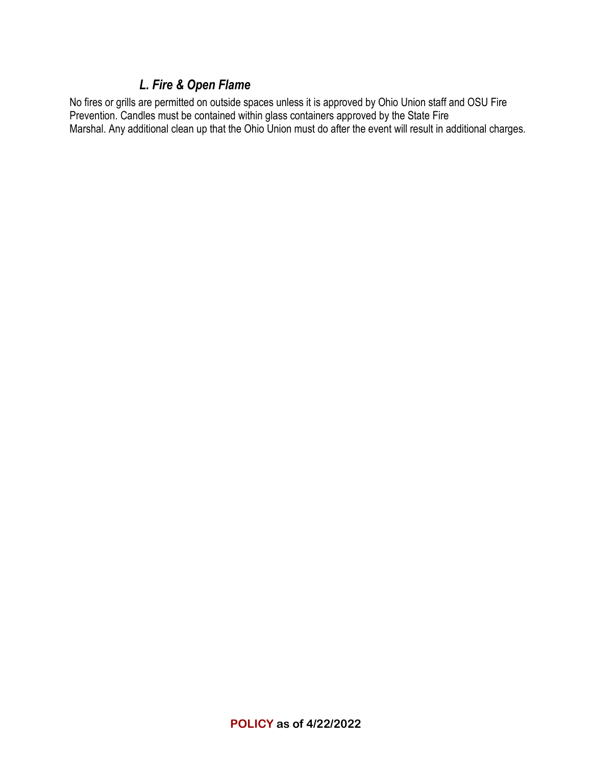## *L. Fire & Open Flame*

No fires or grills are permitted on outside spaces unless it is approved by Ohio Union staff and OSU Fire Prevention. Candles must be contained within glass containers approved by the State Fire Marshal. Any additional clean up that the Ohio Union must do after the event will result in additional charges.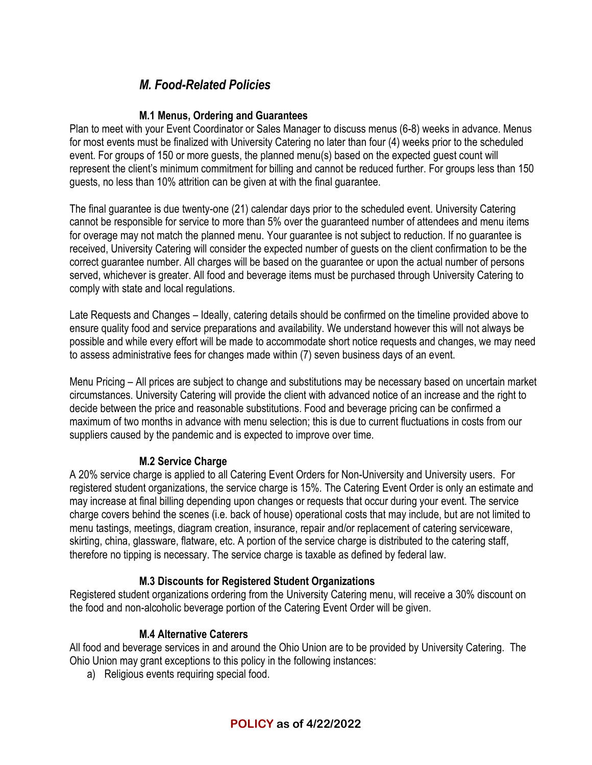# *M. Food-Related Policies*

#### **M.1 Menus, Ordering and Guarantees**

Plan to meet with your Event Coordinator or Sales Manager to discuss menus (6-8) weeks in advance. Menus for most events must be finalized with University Catering no later than four (4) weeks prior to the scheduled event. For groups of 150 or more guests, the planned menu(s) based on the expected guest count will represent the client's minimum commitment for billing and cannot be reduced further. For groups less than 150 guests, no less than 10% attrition can be given at with the final guarantee.

The final guarantee is due twenty-one (21) calendar days prior to the scheduled event. University Catering cannot be responsible for service to more than 5% over the guaranteed number of attendees and menu items for overage may not match the planned menu. Your guarantee is not subject to reduction. If no guarantee is received, University Catering will consider the expected number of guests on the client confirmation to be the correct guarantee number. All charges will be based on the guarantee or upon the actual number of persons served, whichever is greater. All food and beverage items must be purchased through University Catering to comply with state and local regulations.

Late Requests and Changes – Ideally, catering details should be confirmed on the timeline provided above to ensure quality food and service preparations and availability. We understand however this will not always be possible and while every effort will be made to accommodate short notice requests and changes, we may need to assess administrative fees for changes made within (7) seven business days of an event.

Menu Pricing – All prices are subject to change and substitutions may be necessary based on uncertain market circumstances. University Catering will provide the client with advanced notice of an increase and the right to decide between the price and reasonable substitutions. Food and beverage pricing can be confirmed a maximum of two months in advance with menu selection; this is due to current fluctuations in costs from our suppliers caused by the pandemic and is expected to improve over time.

#### **M.2 Service Charge**

A 20% service charge is applied to all Catering Event Orders for Non-University and University users. For registered student organizations, the service charge is 15%. The Catering Event Order is only an estimate and may increase at final billing depending upon changes or requests that occur during your event. The service charge covers behind the scenes (i.e. back of house) operational costs that may include, but are not limited to menu tastings, meetings, diagram creation, insurance, repair and/or replacement of catering serviceware, skirting, china, glassware, flatware, etc. A portion of the service charge is distributed to the catering staff, therefore no tipping is necessary. The service charge is taxable as defined by federal law.

#### **M.3 Discounts for Registered Student Organizations**

Registered student organizations ordering from the University Catering menu, will receive a 30% discount on the food and non-alcoholic beverage portion of the Catering Event Order will be given.

#### **M.4 Alternative Caterers**

All food and beverage services in and around the Ohio Union are to be provided by University Catering. The Ohio Union may grant exceptions to this policy in the following instances:

a) Religious events requiring special food.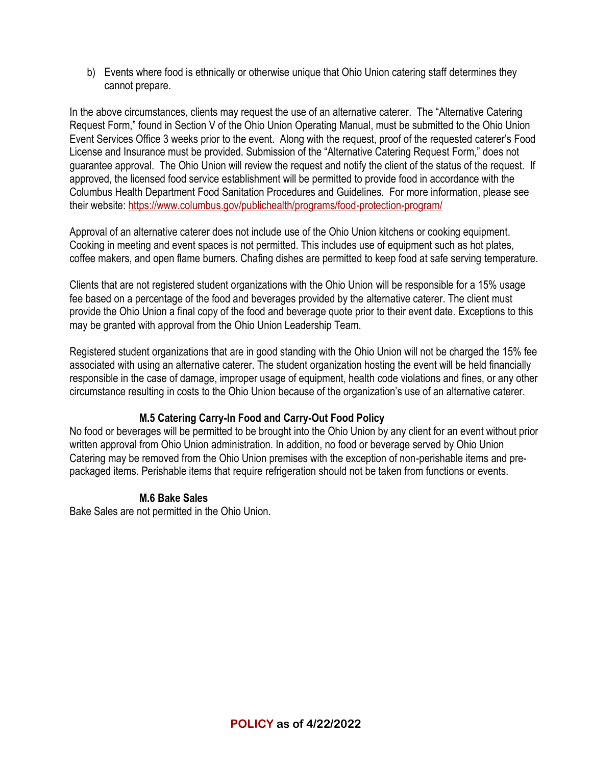b) Events where food is ethnically or otherwise unique that Ohio Union catering staff determines they cannot prepare.

In the above circumstances, clients may request the use of an alternative caterer. The "Alternative Catering Request Form," found in Section V of the Ohio Union Operating Manual, must be submitted to the Ohio Union Event Services Office 3 weeks prior to the event. Along with the request, proof of the requested caterer's Food License and Insurance must be provided. Submission of the "Alternative Catering Request Form," does not guarantee approval. The Ohio Union will review the request and notify the client of the status of the request. If approved, the licensed food service establishment will be permitted to provide food in accordance with the Columbus Health Department Food Sanitation Procedures and Guidelines. For more information, please see their website[: https://www.columbus.gov/publichealth/programs/food-protection-program/](https://www.columbus.gov/publichealth/programs/food-protection-program/)

Approval of an alternative caterer does not include use of the Ohio Union kitchens or cooking equipment. Cooking in meeting and event spaces is not permitted. This includes use of equipment such as hot plates, coffee makers, and open flame burners. Chafing dishes are permitted to keep food at safe serving temperature.

Clients that are not registered student organizations with the Ohio Union will be responsible for a 15% usage fee based on a percentage of the food and beverages provided by the alternative caterer. The client must provide the Ohio Union a final copy of the food and beverage quote prior to their event date. Exceptions to this may be granted with approval from the Ohio Union Leadership Team.

Registered student organizations that are in good standing with the Ohio Union will not be charged the 15% fee associated with using an alternative caterer. The student organization hosting the event will be held financially responsible in the case of damage, improper usage of equipment, health code violations and fines, or any other circumstance resulting in costs to the Ohio Union because of the organization's use of an alternative caterer.

## **M.5 Catering Carry-In Food and Carry-Out Food Policy**

No food or beverages will be permitted to be brought into the Ohio Union by any client for an event without prior written approval from Ohio Union administration. In addition, no food or beverage served by Ohio Union Catering may be removed from the Ohio Union premises with the exception of non-perishable items and prepackaged items. Perishable items that require refrigeration should not be taken from functions or events.

#### **M.6 Bake Sales**

Bake Sales are not permitted in the Ohio Union.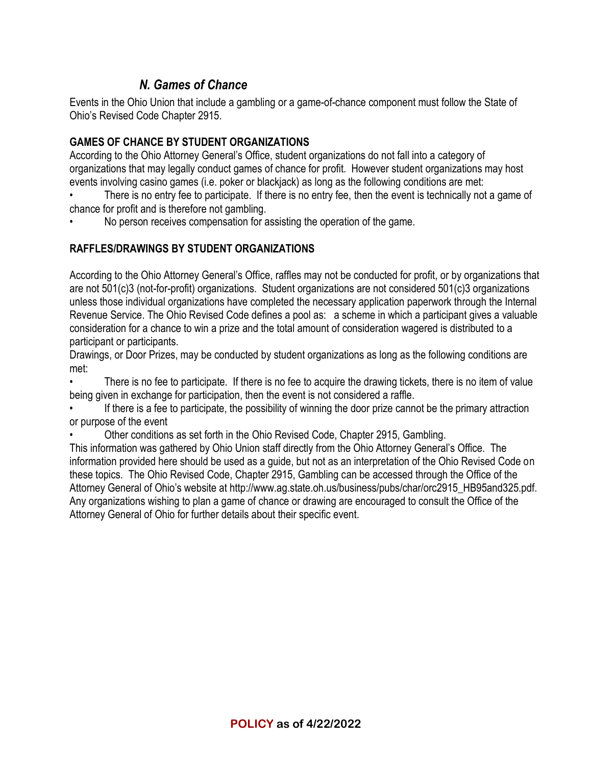# *N. Games of Chance*

Events in the Ohio Union that include a gambling or a game-of-chance component must follow the State of Ohio's Revised Code Chapter 2915.

### **GAMES OF CHANCE BY STUDENT ORGANIZATIONS**

According to the Ohio Attorney General's Office, student organizations do not fall into a category of organizations that may legally conduct games of chance for profit. However student organizations may host events involving casino games (i.e. poker or blackjack) as long as the following conditions are met:

There is no entry fee to participate. If there is no entry fee, then the event is technically not a game of chance for profit and is therefore not gambling.

• No person receives compensation for assisting the operation of the game.

### **RAFFLES/DRAWINGS BY STUDENT ORGANIZATIONS**

According to the Ohio Attorney General's Office, raffles may not be conducted for profit, or by organizations that are not 501(c)3 (not-for-profit) organizations. Student organizations are not considered 501(c)3 organizations unless those individual organizations have completed the necessary application paperwork through the Internal Revenue Service. The Ohio Revised Code defines a pool as: a scheme in which a participant gives a valuable consideration for a chance to win a prize and the total amount of consideration wagered is distributed to a participant or participants.

Drawings, or Door Prizes, may be conducted by student organizations as long as the following conditions are met:

• There is no fee to participate. If there is no fee to acquire the drawing tickets, there is no item of value being given in exchange for participation, then the event is not considered a raffle.

If there is a fee to participate, the possibility of winning the door prize cannot be the primary attraction or purpose of the event

• Other conditions as set forth in the Ohio Revised Code, Chapter 2915, Gambling.

This information was gathered by Ohio Union staff directly from the Ohio Attorney General's Office. The information provided here should be used as a guide, but not as an interpretation of the Ohio Revised Code on these topics. The Ohio Revised Code, Chapter 2915, Gambling can be accessed through the Office of the Attorney General of Ohio's website at http://www.ag.state.oh.us/business/pubs/char/orc2915\_HB95and325.pdf. Any organizations wishing to plan a game of chance or drawing are encouraged to consult the Office of the Attorney General of Ohio for further details about their specific event.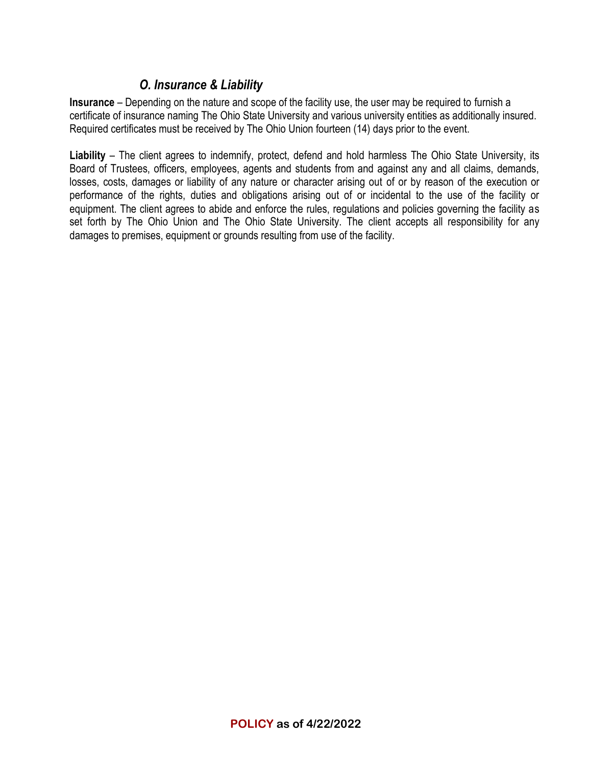# *O. Insurance & Liability*

**Insurance** – Depending on the nature and scope of the facility use, the user may be required to furnish a certificate of insurance naming The Ohio State University and various university entities as additionally insured. Required certificates must be received by The Ohio Union fourteen (14) days prior to the event.

**Liability** – The client agrees to indemnify, protect, defend and hold harmless The Ohio State University, its Board of Trustees, officers, employees, agents and students from and against any and all claims, demands, losses, costs, damages or liability of any nature or character arising out of or by reason of the execution or performance of the rights, duties and obligations arising out of or incidental to the use of the facility or equipment. The client agrees to abide and enforce the rules, regulations and policies governing the facility as set forth by The Ohio Union and The Ohio State University. The client accepts all responsibility for any damages to premises, equipment or grounds resulting from use of the facility.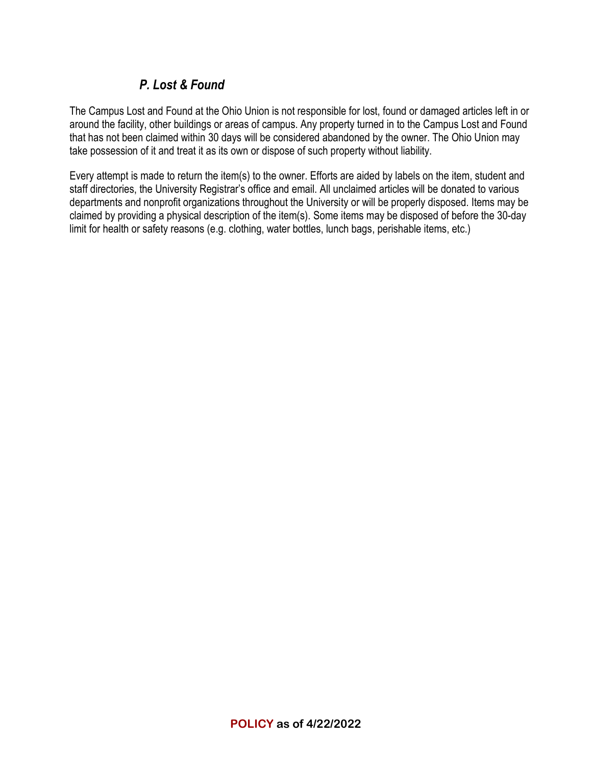# *P. Lost & Found*

The Campus Lost and Found at the Ohio Union is not responsible for lost, found or damaged articles left in or around the facility, other buildings or areas of campus. Any property turned in to the Campus Lost and Found that has not been claimed within 30 days will be considered abandoned by the owner. The Ohio Union may take possession of it and treat it as its own or dispose of such property without liability.

Every attempt is made to return the item(s) to the owner. Efforts are aided by labels on the item, student and staff directories, the University Registrar's office and email. All unclaimed articles will be donated to various departments and nonprofit organizations throughout the University or will be properly disposed. Items may be claimed by providing a physical description of the item(s). Some items may be disposed of before the 30-day limit for health or safety reasons (e.g. clothing, water bottles, lunch bags, perishable items, etc.)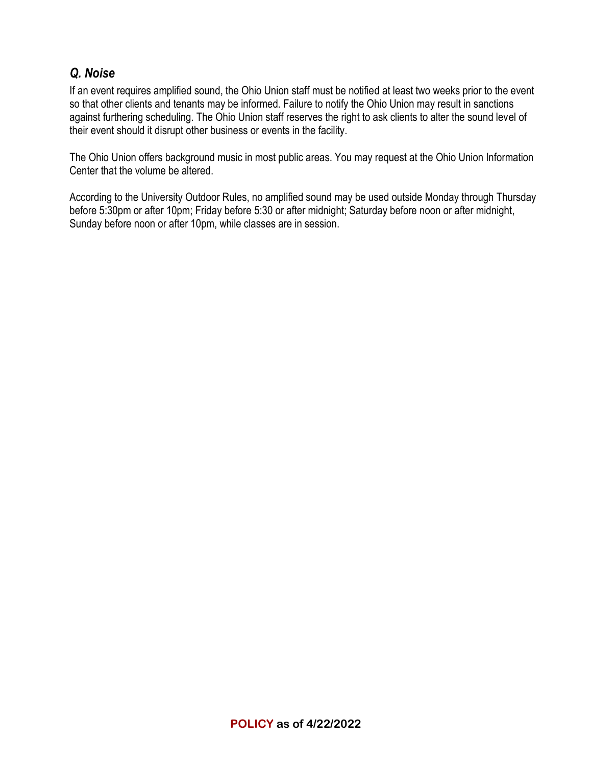# *Q. Noise*

If an event requires amplified sound, the Ohio Union staff must be notified at least two weeks prior to the event so that other clients and tenants may be informed. Failure to notify the Ohio Union may result in sanctions against furthering scheduling. The Ohio Union staff reserves the right to ask clients to alter the sound level of their event should it disrupt other business or events in the facility.

The Ohio Union offers background music in most public areas. You may request at the Ohio Union Information Center that the volume be altered.

According to the University Outdoor Rules, no amplified sound may be used outside Monday through Thursday before 5:30pm or after 10pm; Friday before 5:30 or after midnight; Saturday before noon or after midnight, Sunday before noon or after 10pm, while classes are in session.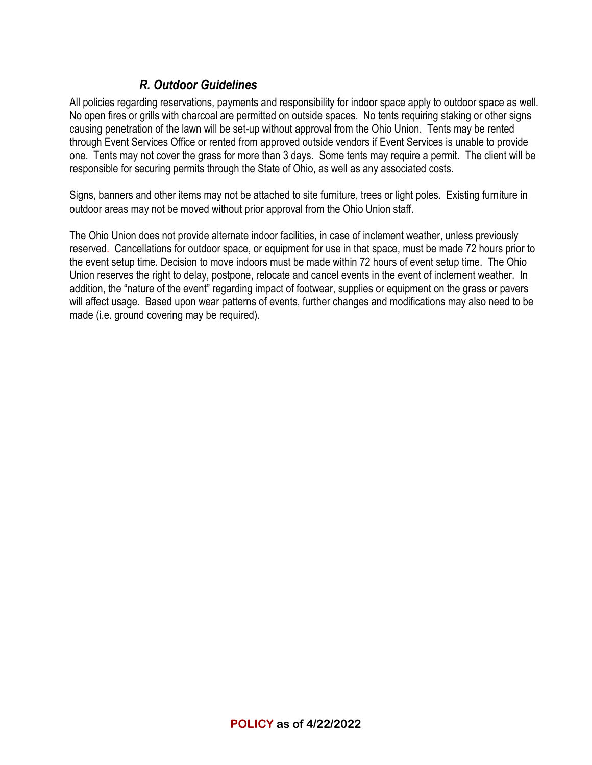# *R. Outdoor Guidelines*

All policies regarding reservations, payments and responsibility for indoor space apply to outdoor space as well. No open fires or grills with charcoal are permitted on outside spaces. No tents requiring staking or other signs causing penetration of the lawn will be set-up without approval from the Ohio Union. Tents may be rented through Event Services Office or rented from approved outside vendors if Event Services is unable to provide one. Tents may not cover the grass for more than 3 days. Some tents may require a permit. The client will be responsible for securing permits through the State of Ohio, as well as any associated costs.

Signs, banners and other items may not be attached to site furniture, trees or light poles. Existing furniture in outdoor areas may not be moved without prior approval from the Ohio Union staff.

The Ohio Union does not provide alternate indoor facilities, in case of inclement weather, unless previously reserved. Cancellations for outdoor space, or equipment for use in that space, must be made 72 hours prior to the event setup time. Decision to move indoors must be made within 72 hours of event setup time. The Ohio Union reserves the right to delay, postpone, relocate and cancel events in the event of inclement weather. In addition, the "nature of the event" regarding impact of footwear, supplies or equipment on the grass or pavers will affect usage. Based upon wear patterns of events, further changes and modifications may also need to be made (i.e. ground covering may be required).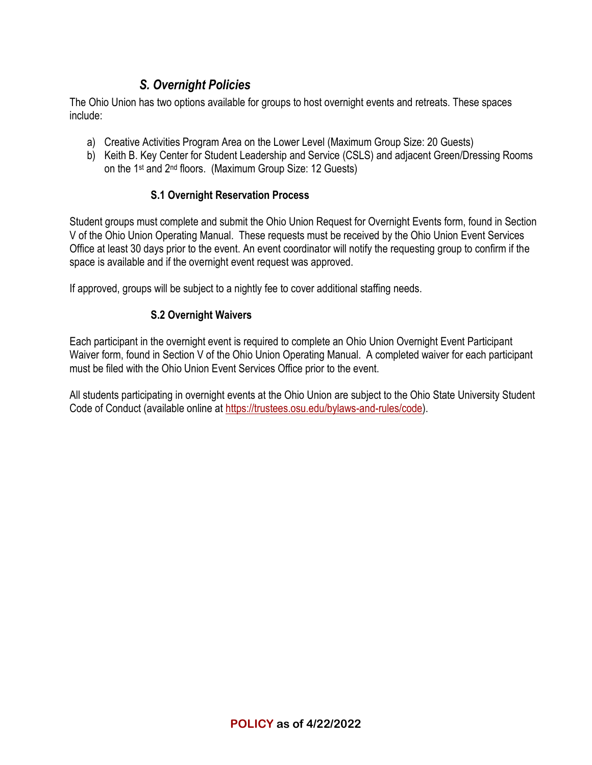# *S. Overnight Policies*

The Ohio Union has two options available for groups to host overnight events and retreats. These spaces include:

- a) Creative Activities Program Area on the Lower Level (Maximum Group Size: 20 Guests)
- b) Keith B. Key Center for Student Leadership and Service (CSLS) and adjacent Green/Dressing Rooms on the 1st and 2nd floors. (Maximum Group Size: 12 Guests)

## **S.1 Overnight Reservation Process**

Student groups must complete and submit the Ohio Union Request for Overnight Events form, found in Section V of the Ohio Union Operating Manual. These requests must be received by the Ohio Union Event Services Office at least 30 days prior to the event. An event coordinator will notify the requesting group to confirm if the space is available and if the overnight event request was approved.

If approved, groups will be subject to a nightly fee to cover additional staffing needs.

### **S.2 Overnight Waivers**

Each participant in the overnight event is required to complete an Ohio Union Overnight Event Participant Waiver form, found in Section V of the Ohio Union Operating Manual. A completed waiver for each participant must be filed with the Ohio Union Event Services Office prior to the event.

All students participating in overnight events at the Ohio Union are subject to the Ohio State University Student Code of Conduct (available online at [https://trustees.osu.edu/bylaws-and-rules/code\)](https://trustees.osu.edu/bylaws-and-rules/code).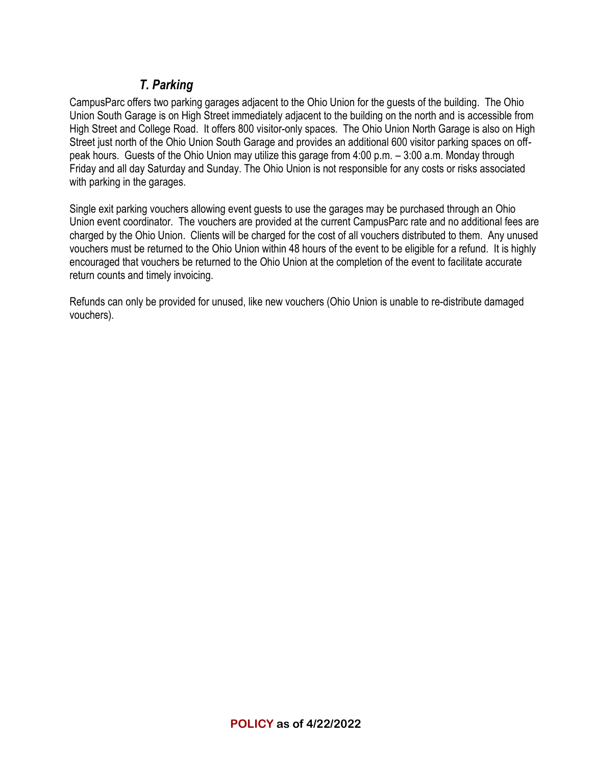# *T. Parking*

CampusParc offers two parking garages adjacent to the Ohio Union for the guests of the building. The Ohio Union South Garage is on High Street immediately adjacent to the building on the north and is accessible from High Street and College Road. It offers 800 visitor-only spaces. The Ohio Union North Garage is also on High Street just north of the Ohio Union South Garage and provides an additional 600 visitor parking spaces on offpeak hours. Guests of the Ohio Union may utilize this garage from 4:00 p.m. – 3:00 a.m. Monday through Friday and all day Saturday and Sunday. The Ohio Union is not responsible for any costs or risks associated with parking in the garages.

Single exit parking vouchers allowing event guests to use the garages may be purchased through an Ohio Union event coordinator. The vouchers are provided at the current CampusParc rate and no additional fees are charged by the Ohio Union. Clients will be charged for the cost of all vouchers distributed to them. Any unused vouchers must be returned to the Ohio Union within 48 hours of the event to be eligible for a refund. It is highly encouraged that vouchers be returned to the Ohio Union at the completion of the event to facilitate accurate return counts and timely invoicing.

Refunds can only be provided for unused, like new vouchers (Ohio Union is unable to re-distribute damaged vouchers).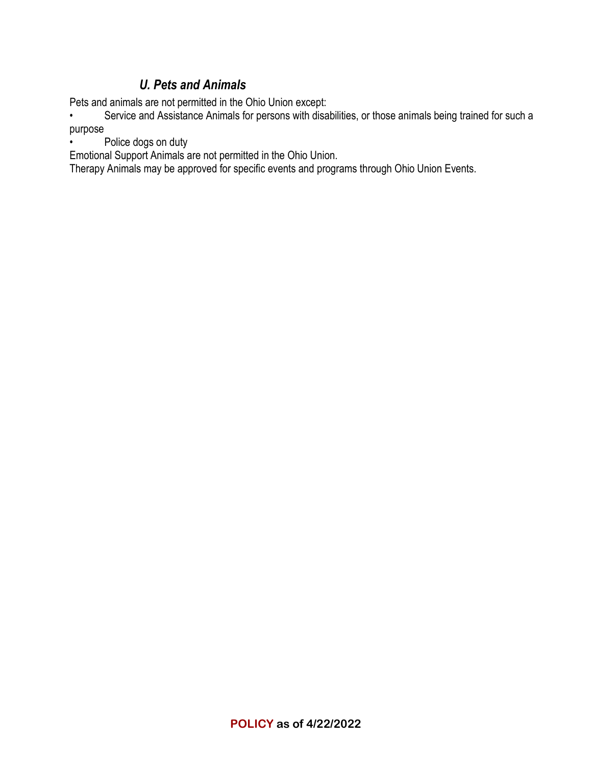# *U. Pets and Animals*

Pets and animals are not permitted in the Ohio Union except:

Service and Assistance Animals for persons with disabilities, or those animals being trained for such a purpose

Police dogs on duty

Emotional Support Animals are not permitted in the Ohio Union.

Therapy Animals may be approved for specific events and programs through Ohio Union Events.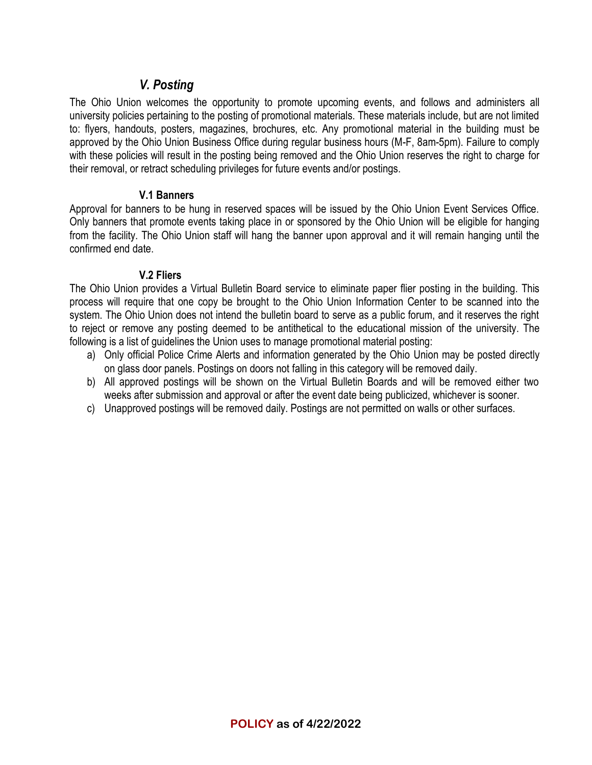## *V. Posting*

The Ohio Union welcomes the opportunity to promote upcoming events, and follows and administers all university policies pertaining to the posting of promotional materials. These materials include, but are not limited to: flyers, handouts, posters, magazines, brochures, etc. Any promotional material in the building must be approved by the Ohio Union Business Office during regular business hours (M-F, 8am-5pm). Failure to comply with these policies will result in the posting being removed and the Ohio Union reserves the right to charge for their removal, or retract scheduling privileges for future events and/or postings.

#### **V.1 Banners**

Approval for banners to be hung in reserved spaces will be issued by the Ohio Union Event Services Office. Only banners that promote events taking place in or sponsored by the Ohio Union will be eligible for hanging from the facility. The Ohio Union staff will hang the banner upon approval and it will remain hanging until the confirmed end date.

### **V.2 Fliers**

The Ohio Union provides a Virtual Bulletin Board service to eliminate paper flier posting in the building. This process will require that one copy be brought to the Ohio Union Information Center to be scanned into the system. The Ohio Union does not intend the bulletin board to serve as a public forum, and it reserves the right to reject or remove any posting deemed to be antithetical to the educational mission of the university. The following is a list of guidelines the Union uses to manage promotional material posting:

- a) Only official Police Crime Alerts and information generated by the Ohio Union may be posted directly on glass door panels. Postings on doors not falling in this category will be removed daily.
- b) All approved postings will be shown on the Virtual Bulletin Boards and will be removed either two weeks after submission and approval or after the event date being publicized, whichever is sooner.
- c) Unapproved postings will be removed daily. Postings are not permitted on walls or other surfaces.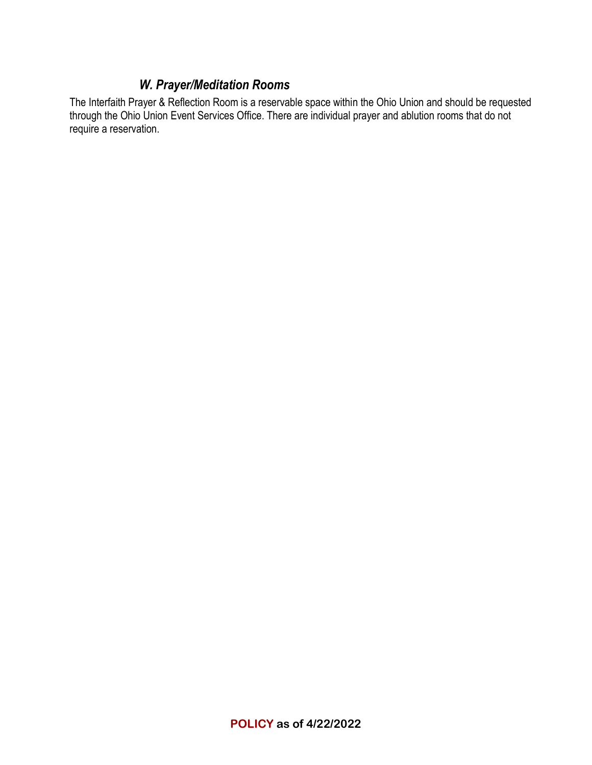## *W. Prayer/Meditation Rooms*

The Interfaith Prayer & Reflection Room is a reservable space within the Ohio Union and should be requested through the Ohio Union Event Services Office. There are individual prayer and ablution rooms that do not require a reservation.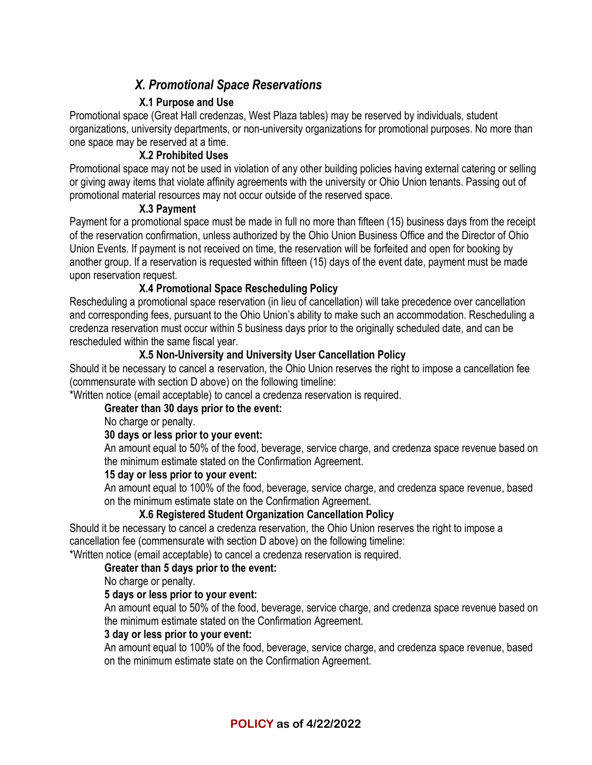# *X. Promotional Space Reservations*

## **X.1 Purpose and Use**

Promotional space (Great Hall credenzas, West Plaza tables) may be reserved by individuals, student organizations, university departments, or non-university organizations for promotional purposes. No more than one space may be reserved at a time.

### **X.2 Prohibited Uses**

Promotional space may not be used in violation of any other building policies having external catering or selling or giving away items that violate affinity agreements with the university or Ohio Union tenants. Passing out of promotional material resources may not occur outside of the reserved space.

#### **X.3 Payment**

Payment for a promotional space must be made in full no more than fifteen (15) business days from the receipt of the reservation confirmation, unless authorized by the Ohio Union Business Office and the Director of Ohio Union Events. If payment is not received on time, the reservation will be forfeited and open for booking by another group. If a reservation is requested within fifteen (15) days of the event date, payment must be made upon reservation request.

### **X.4 Promotional Space Rescheduling Policy**

Rescheduling a promotional space reservation (in lieu of cancellation) will take precedence over cancellation and corresponding fees, pursuant to the Ohio Union's ability to make such an accommodation. Rescheduling a credenza reservation must occur within 5 business days prior to the originally scheduled date, and can be rescheduled within the same fiscal year.

#### **X.5 Non-University and University User Cancellation Policy**

Should it be necessary to cancel a reservation, the Ohio Union reserves the right to impose a cancellation fee (commensurate with section D above) on the following timeline:

\*Written notice (email acceptable) to cancel a credenza reservation is required.

#### **Greater than 30 days prior to the event:**

No charge or penalty.

#### **30 days or less prior to your event:**

An amount equal to 50% of the food, beverage, service charge, and credenza space revenue based on the minimum estimate stated on the Confirmation Agreement.

#### **15 day or less prior to your event:**

An amount equal to 100% of the food, beverage, service charge, and credenza space revenue, based on the minimum estimate state on the Confirmation Agreement.

### **X.6 Registered Student Organization Cancellation Policy**

Should it be necessary to cancel a credenza reservation, the Ohio Union reserves the right to impose a cancellation fee (commensurate with section D above) on the following timeline:

\*Written notice (email acceptable) to cancel a credenza reservation is required.

#### **Greater than 5 days prior to the event:**

No charge or penalty.

#### **5 days or less prior to your event:**

An amount equal to 50% of the food, beverage, service charge, and credenza space revenue based on the minimum estimate stated on the Confirmation Agreement.

#### **3 day or less prior to your event:**

An amount equal to 100% of the food, beverage, service charge, and credenza space revenue, based on the minimum estimate state on the Confirmation Agreement.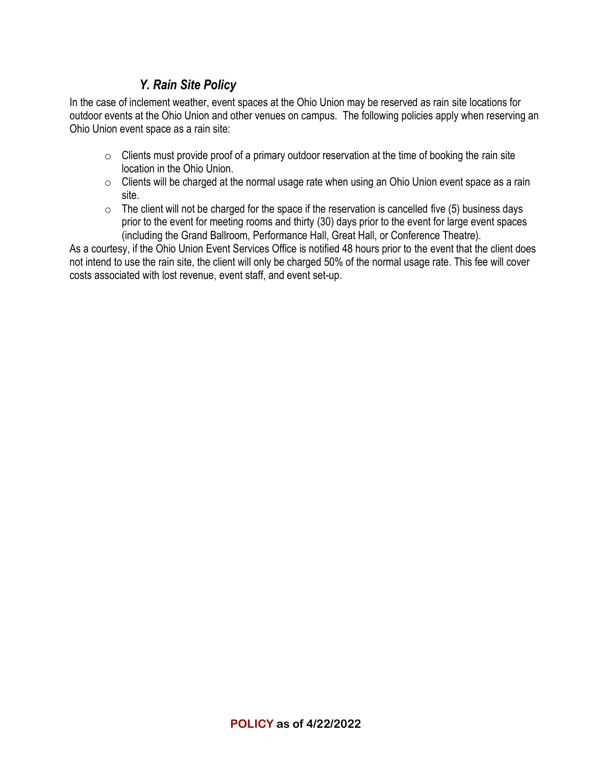# *Y. Rain Site Policy*

In the case of inclement weather, event spaces at the Ohio Union may be reserved as rain site locations for outdoor events at the Ohio Union and other venues on campus. The following policies apply when reserving an Ohio Union event space as a rain site:

- $\circ$  Clients must provide proof of a primary outdoor reservation at the time of booking the rain site location in the Ohio Union.
- $\circ$  Clients will be charged at the normal usage rate when using an Ohio Union event space as a rain site.
- $\circ$  The client will not be charged for the space if the reservation is cancelled five (5) business days prior to the event for meeting rooms and thirty (30) days prior to the event for large event spaces (including the Grand Ballroom, Performance Hall, Great Hall, or Conference Theatre).

As a courtesy, if the Ohio Union Event Services Office is notified 48 hours prior to the event that the client does not intend to use the rain site, the client will only be charged 50% of the normal usage rate. This fee will cover costs associated with lost revenue, event staff, and event set-up.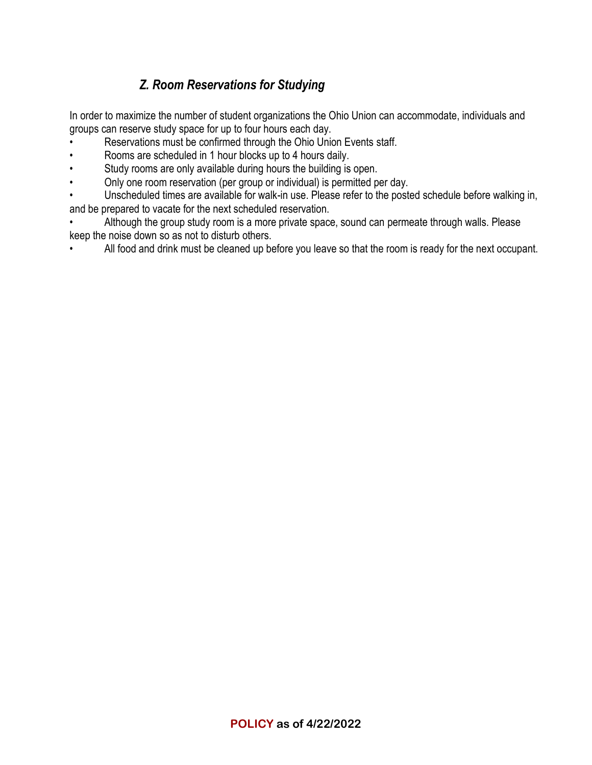# *Z. Room Reservations for Studying*

In order to maximize the number of student organizations the Ohio Union can accommodate, individuals and groups can reserve study space for up to four hours each day.

- Reservations must be confirmed through the Ohio Union Events staff.
- Rooms are scheduled in 1 hour blocks up to 4 hours daily.
- Study rooms are only available during hours the building is open.
- Only one room reservation (per group or individual) is permitted per day.

Unscheduled times are available for walk-in use. Please refer to the posted schedule before walking in, and be prepared to vacate for the next scheduled reservation.

• Although the group study room is a more private space, sound can permeate through walls. Please keep the noise down so as not to disturb others.

• All food and drink must be cleaned up before you leave so that the room is ready for the next occupant.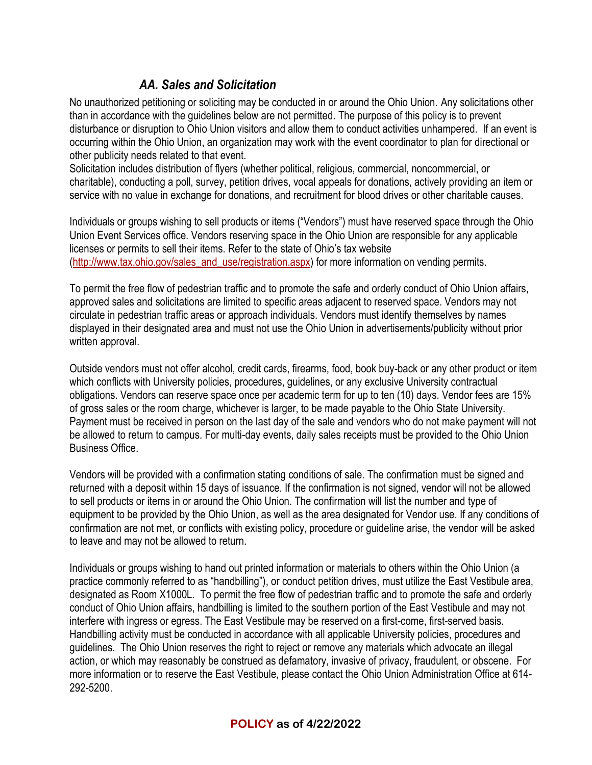# *AA. Sales and Solicitation*

No unauthorized petitioning or soliciting may be conducted in or around the Ohio Union. Any solicitations other than in accordance with the guidelines below are not permitted. The purpose of this policy is to prevent disturbance or disruption to Ohio Union visitors and allow them to conduct activities unhampered. If an event is occurring within the Ohio Union, an organization may work with the event coordinator to plan for directional or other publicity needs related to that event.

Solicitation includes distribution of flyers (whether political, religious, commercial, noncommercial, or charitable), conducting a poll, survey, petition drives, vocal appeals for donations, actively providing an item or service with no value in exchange for donations, and recruitment for blood drives or other charitable causes.

Individuals or groups wishing to sell products or items ("Vendors") must have reserved space through the Ohio Union Event Services office. Vendors reserving space in the Ohio Union are responsible for any applicable licenses or permits to sell their items. Refer to the state of Ohio's tax website [\(http://www.tax.ohio.gov/sales\\_and\\_use/registration.aspx\)](http://www.tax.ohio.gov/sales_and_use/registration.aspx) for more information on vending permits.

To permit the free flow of pedestrian traffic and to promote the safe and orderly conduct of Ohio Union affairs, approved sales and solicitations are limited to specific areas adjacent to reserved space. Vendors may not circulate in pedestrian traffic areas or approach individuals. Vendors must identify themselves by names displayed in their designated area and must not use the Ohio Union in advertisements/publicity without prior written approval.

Outside vendors must not offer alcohol, credit cards, firearms, food, book buy-back or any other product or item which conflicts with University policies, procedures, guidelines, or any exclusive University contractual obligations. Vendors can reserve space once per academic term for up to ten (10) days. Vendor fees are 15% of gross sales or the room charge, whichever is larger, to be made payable to the Ohio State University. Payment must be received in person on the last day of the sale and vendors who do not make payment will not be allowed to return to campus. For multi-day events, daily sales receipts must be provided to the Ohio Union Business Office.

Vendors will be provided with a confirmation stating conditions of sale. The confirmation must be signed and returned with a deposit within 15 days of issuance. If the confirmation is not signed, vendor will not be allowed to sell products or items in or around the Ohio Union. The confirmation will list the number and type of equipment to be provided by the Ohio Union, as well as the area designated for Vendor use. If any conditions of confirmation are not met, or conflicts with existing policy, procedure or guideline arise, the vendor will be asked to leave and may not be allowed to return.

Individuals or groups wishing to hand out printed information or materials to others within the Ohio Union (a practice commonly referred to as "handbilling"), or conduct petition drives, must utilize the East Vestibule area, designated as Room X1000L. To permit the free flow of pedestrian traffic and to promote the safe and orderly conduct of Ohio Union affairs, handbilling is limited to the southern portion of the East Vestibule and may not interfere with ingress or egress. The East Vestibule may be reserved on a first-come, first-served basis. Handbilling activity must be conducted in accordance with all applicable University policies, procedures and guidelines. The Ohio Union reserves the right to reject or remove any materials which advocate an illegal action, or which may reasonably be construed as defamatory, invasive of privacy, fraudulent, or obscene. For more information or to reserve the East Vestibule, please contact the Ohio Union Administration Office at 614- 292-5200.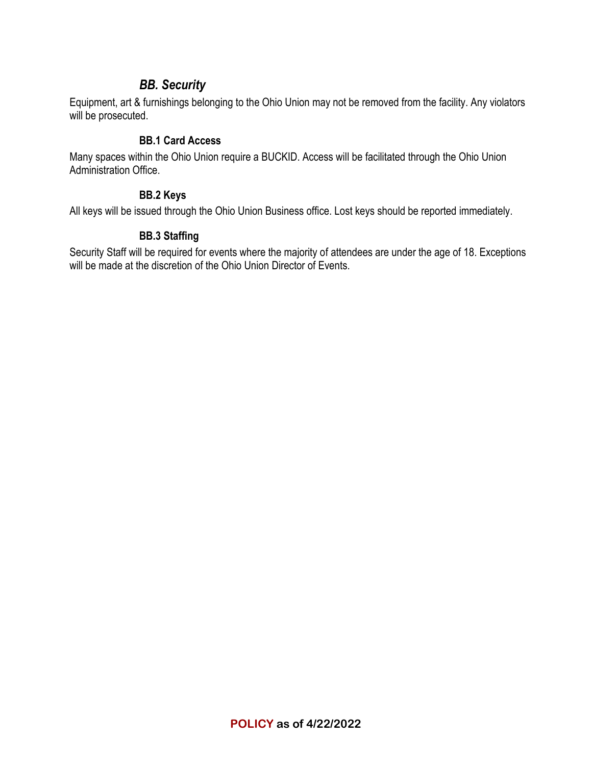## *BB. Security*

Equipment, art & furnishings belonging to the Ohio Union may not be removed from the facility. Any violators will be prosecuted.

#### **BB.1 Card Access**

Many spaces within the Ohio Union require a BUCKID. Access will be facilitated through the Ohio Union Administration Office.

#### **BB.2 Keys**

All keys will be issued through the Ohio Union Business office. Lost keys should be reported immediately.

### **BB.3 Staffing**

Security Staff will be required for events where the majority of attendees are under the age of 18. Exceptions will be made at the discretion of the Ohio Union Director of Events.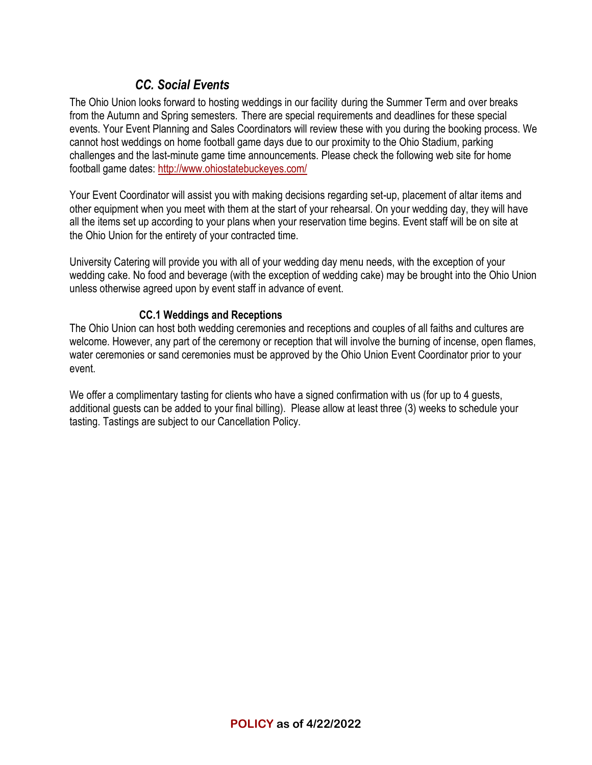# *CC. Social Events*

The Ohio Union looks forward to hosting weddings in our facility during the Summer Term and over breaks from the Autumn and Spring semesters. There are special requirements and deadlines for these special events. Your Event Planning and Sales Coordinators will review these with you during the booking process. We cannot host weddings on home football game days due to our proximity to the Ohio Stadium, parking challenges and the last-minute game time announcements. Please check the following web site for home football game dates:<http://www.ohiostatebuckeyes.com/>

Your Event Coordinator will assist you with making decisions regarding set-up, placement of altar items and other equipment when you meet with them at the start of your rehearsal. On your wedding day, they will have all the items set up according to your plans when your reservation time begins. Event staff will be on site at the Ohio Union for the entirety of your contracted time.

University Catering will provide you with all of your wedding day menu needs, with the exception of your wedding cake. No food and beverage (with the exception of wedding cake) may be brought into the Ohio Union unless otherwise agreed upon by event staff in advance of event.

#### **CC.1 Weddings and Receptions**

The Ohio Union can host both wedding ceremonies and receptions and couples of all faiths and cultures are welcome. However, any part of the ceremony or reception that will involve the burning of incense, open flames, water ceremonies or sand ceremonies must be approved by the Ohio Union Event Coordinator prior to your event.

We offer a complimentary tasting for clients who have a signed confirmation with us (for up to 4 guests, additional guests can be added to your final billing). Please allow at least three (3) weeks to schedule your tasting. Tastings are subject to our Cancellation Policy.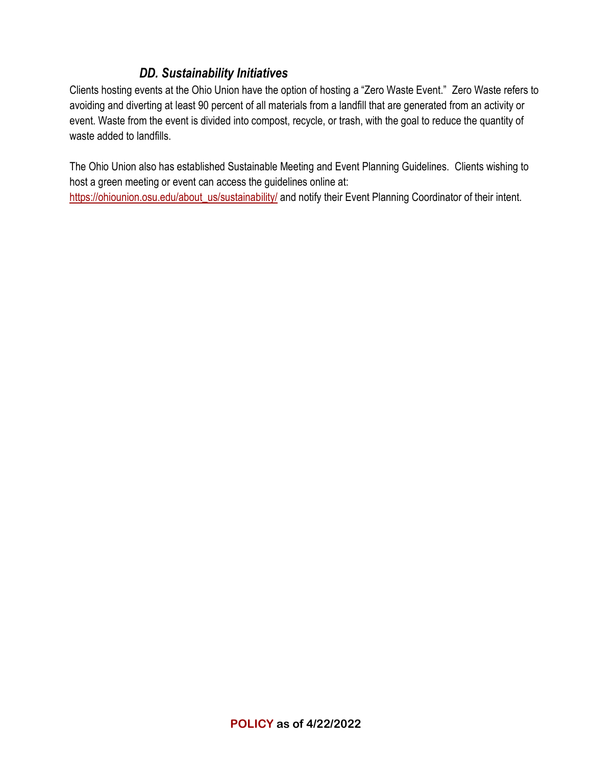# *DD. Sustainability Initiatives*

Clients hosting events at the Ohio Union have the option of hosting a "Zero Waste Event." Zero Waste refers to avoiding and diverting at least 90 percent of all materials from a landfill that are generated from an activity or event. Waste from the event is divided into compost, recycle, or trash, with the goal to reduce the quantity of waste added to landfills.

The Ohio Union also has established Sustainable Meeting and Event Planning Guidelines. Clients wishing to host a green meeting or event can access the guidelines online at: [https://ohiounion.osu.edu/about\\_us/sustainability/](https://ohiounion.osu.edu/about_us/sustainability/) and notify their Event Planning Coordinator of their intent.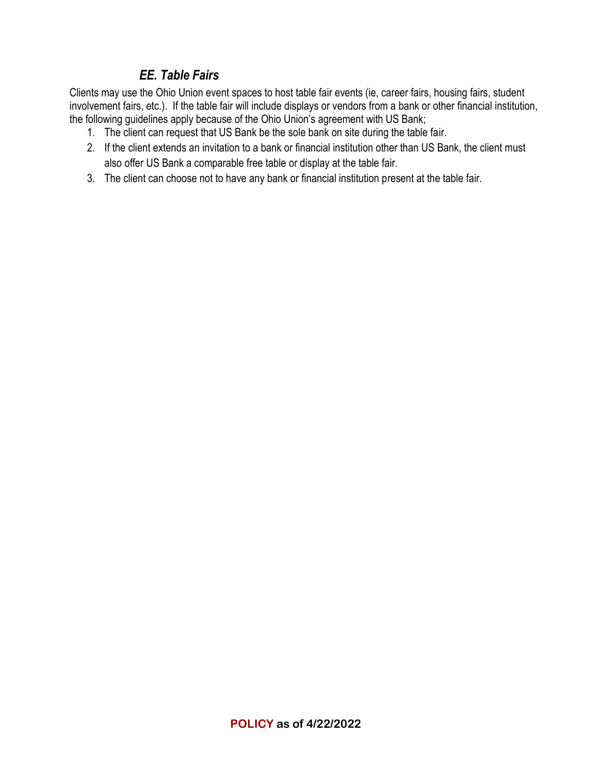# *EE. Table Fairs*

Clients may use the Ohio Union event spaces to host table fair events (ie, career fairs, housing fairs, student involvement fairs, etc.). If the table fair will include displays or vendors from a bank or other financial institution, the following guidelines apply because of the Ohio Union's agreement with US Bank;

- 1. The client can request that US Bank be the sole bank on site during the table fair.
- 2. If the client extends an invitation to a bank or financial institution other than US Bank, the client must also offer US Bank a comparable free table or display at the table fair.
- 3. The client can choose not to have any bank or financial institution present at the table fair.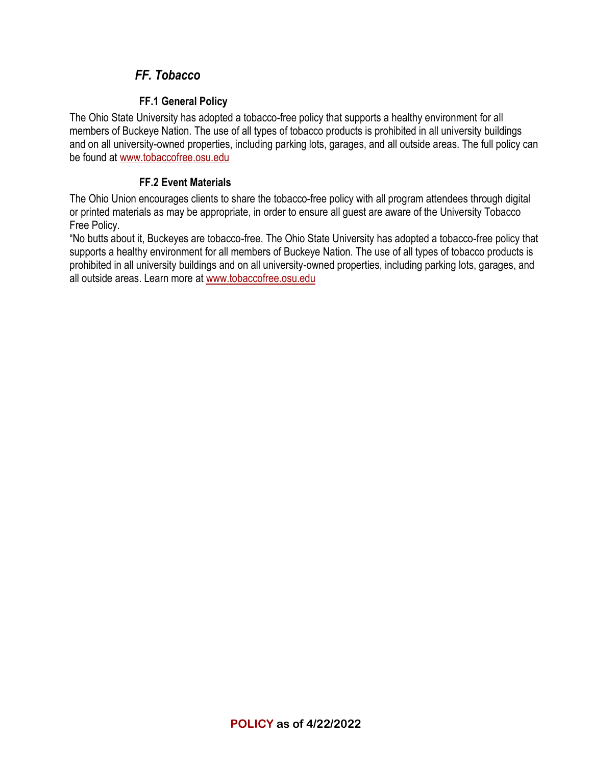# *FF. Tobacco*

## **FF.1 General Policy**

The Ohio State University has adopted a tobacco-free policy that supports a healthy environment for all members of Buckeye Nation. The use of all types of tobacco products is prohibited in all university buildings and on all university-owned properties, including parking lots, garages, and all outside areas. The full policy can be found at [www.tobaccofree.osu.edu](http://www.tobaccofree.osu.edu/)

### **FF.2 Event Materials**

The Ohio Union encourages clients to share the tobacco-free policy with all program attendees through digital or printed materials as may be appropriate, in order to ensure all guest are aware of the University Tobacco Free Policy.

"No butts about it, Buckeyes are tobacco-free. The Ohio State University has adopted a tobacco-free policy that supports a healthy environment for all members of Buckeye Nation. The use of all types of tobacco products is prohibited in all university buildings and on all university-owned properties, including parking lots, garages, and all outside areas. Learn more at [www.tobaccofree.osu.edu](http://www.tobaccofree.osu.edu/)